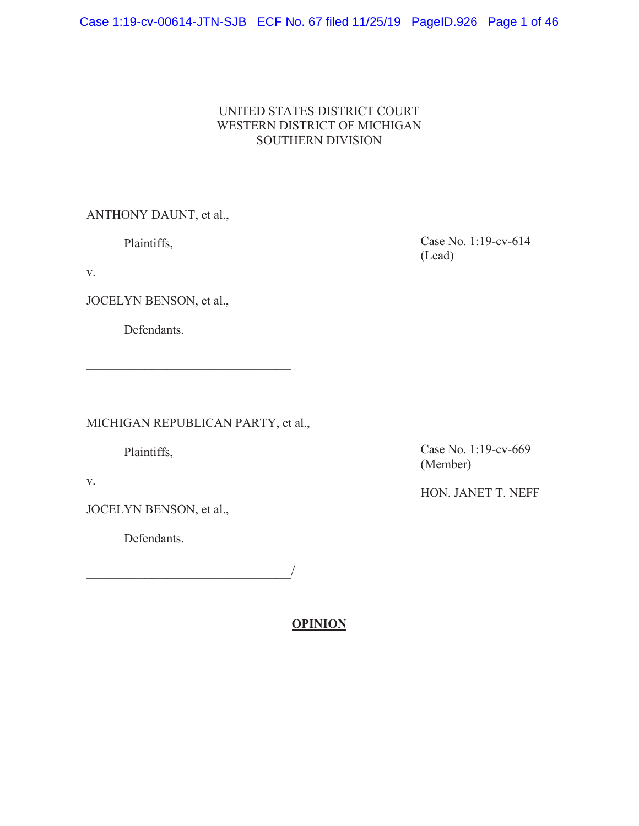# Case 1:19-cv-00614-JTN-SJB ECF No. 67 filed 11/25/19 PageID.926 Page 1 of 46

# UNITED STATES DISTRICT COURT WESTERN DISTRICT OF MICHIGAN SOUTHERN DIVISION

ANTHONY DAUNT, et al.,

Plaintiffs,

v.

JOCELYN BENSON, et al.,

Defendants.

MICHIGAN REPUBLICAN PARTY, et al.,

 $\mathcal{L}=\mathcal{L}=\mathcal{L}=\mathcal{L}=\mathcal{L}=\mathcal{L}=\mathcal{L}=\mathcal{L}=\mathcal{L}=\mathcal{L}=\mathcal{L}=\mathcal{L}=\mathcal{L}=\mathcal{L}=\mathcal{L}=\mathcal{L}=\mathcal{L}=\mathcal{L}=\mathcal{L}=\mathcal{L}=\mathcal{L}=\mathcal{L}=\mathcal{L}=\mathcal{L}=\mathcal{L}=\mathcal{L}=\mathcal{L}=\mathcal{L}=\mathcal{L}=\mathcal{L}=\mathcal{L}=\mathcal{L}=\mathcal{L}=\mathcal{L}=\mathcal{L}=\mathcal{L}=\mathcal{$ 

Plaintiffs,

v.

JOCELYN BENSON, et al.,

Defendants.

 $\overline{\phantom{a}}$ 

**OPINION**

Case No. 1:19-cv-614 (Lead)

Case No. 1:19-cv-669 (Member)

HON. JANET T. NEFF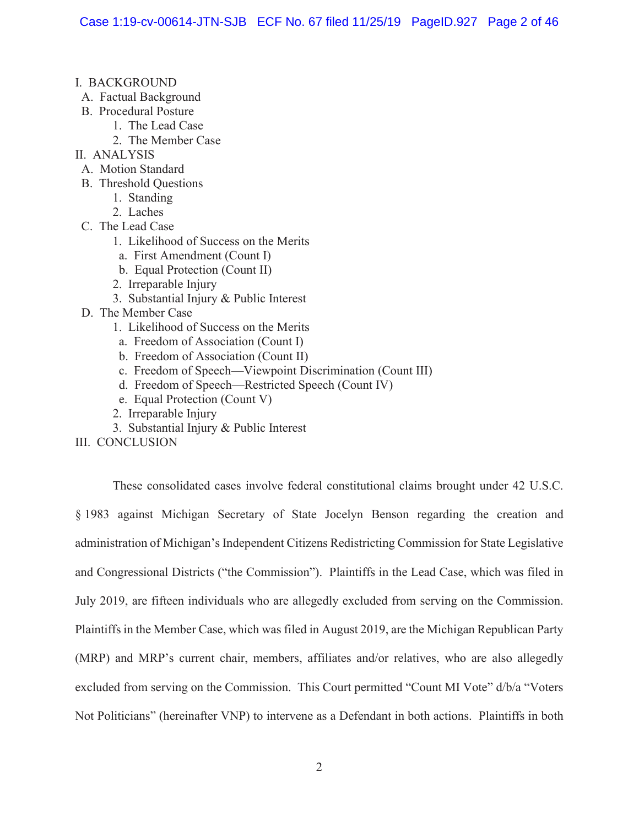- I. BACKGROUND
- A. Factual Background
- B. Procedural Posture
	- 1. The Lead Case
		- 2. The Member Case
- II. ANALYSIS
- A. Motion Standard
- B. Threshold Questions
	- 1. Standing
	- 2. Laches
- C. The Lead Case
	- 1. Likelihood of Success on the Merits
	- a. First Amendment (Count I)
	- b. Equal Protection (Count II)
	- 2. Irreparable Injury
	- 3. Substantial Injury & Public Interest
- D. The Member Case
	- 1. Likelihood of Success on the Merits
	- a. Freedom of Association (Count I)
	- b. Freedom of Association (Count II)
	- c. Freedom of Speech—Viewpoint Discrimination (Count III)
	- d. Freedom of Speech—Restricted Speech (Count IV)
	- e. Equal Protection (Count V)
	- 2. Irreparable Injury
	- 3. Substantial Injury & Public Interest

III. CONCLUSION

These consolidated cases involve federal constitutional claims brought under 42 U.S.C. § 1983 against Michigan Secretary of State Jocelyn Benson regarding the creation and administration of Michigan's Independent Citizens Redistricting Commission for State Legislative and Congressional Districts ("the Commission"). Plaintiffs in the Lead Case, which was filed in July 2019, are fifteen individuals who are allegedly excluded from serving on the Commission. Plaintiffs in the Member Case, which was filed in August 2019, are the Michigan Republican Party (MRP) and MRP's current chair, members, affiliates and/or relatives, who are also allegedly excluded from serving on the Commission. This Court permitted "Count MI Vote" d/b/a "Voters Not Politicians" (hereinafter VNP) to intervene as a Defendant in both actions. Plaintiffs in both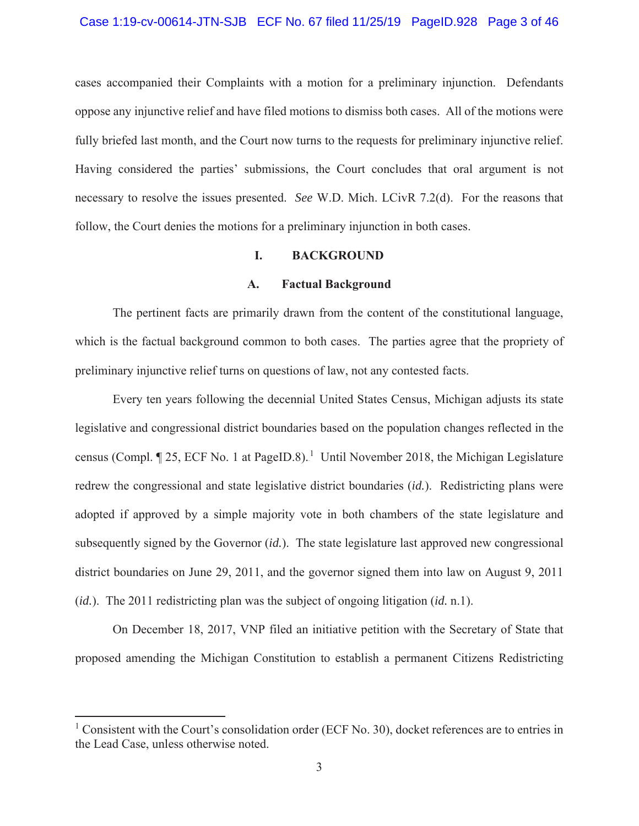#### Case 1:19-cv-00614-JTN-SJB ECF No. 67 filed 11/25/19 PageID.928 Page 3 of 46

cases accompanied their Complaints with a motion for a preliminary injunction. Defendants oppose any injunctive relief and have filed motions to dismiss both cases. All of the motions were fully briefed last month, and the Court now turns to the requests for preliminary injunctive relief. Having considered the parties' submissions, the Court concludes that oral argument is not necessary to resolve the issues presented. *See* W.D. Mich. LCivR 7.2(d). For the reasons that follow, the Court denies the motions for a preliminary injunction in both cases.

## **I. BACKGROUND**

#### **A. Factual Background**

The pertinent facts are primarily drawn from the content of the constitutional language, which is the factual background common to both cases. The parties agree that the propriety of preliminary injunctive relief turns on questions of law, not any contested facts.

Every ten years following the decennial United States Census, Michigan adjusts its state legislative and congressional district boundaries based on the population changes reflected in the census (Compl.  $\P$  25, ECF No. 1 at PageID.8).<sup>1</sup> Until November 2018, the Michigan Legislature redrew the congressional and state legislative district boundaries (*id.*). Redistricting plans were adopted if approved by a simple majority vote in both chambers of the state legislature and subsequently signed by the Governor (*id.*). The state legislature last approved new congressional district boundaries on June 29, 2011, and the governor signed them into law on August 9, 2011 (*id.*). The 2011 redistricting plan was the subject of ongoing litigation (*id.* n.1).

On December 18, 2017, VNP filed an initiative petition with the Secretary of State that proposed amending the Michigan Constitution to establish a permanent Citizens Redistricting

<sup>&</sup>lt;sup>1</sup> Consistent with the Court's consolidation order (ECF No. 30), docket references are to entries in the Lead Case, unless otherwise noted.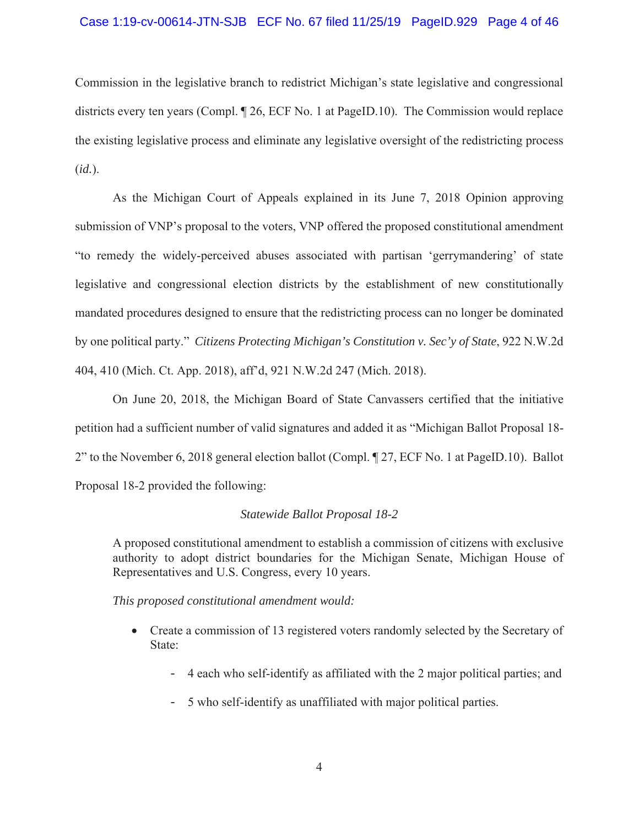## Case 1:19-cv-00614-JTN-SJB ECF No. 67 filed 11/25/19 PageID.929 Page 4 of 46

Commission in the legislative branch to redistrict Michigan's state legislative and congressional districts every ten years (Compl. ¶ 26, ECF No. 1 at PageID.10). The Commission would replace the existing legislative process and eliminate any legislative oversight of the redistricting process (*id.*).

As the Michigan Court of Appeals explained in its June 7, 2018 Opinion approving submission of VNP's proposal to the voters, VNP offered the proposed constitutional amendment "to remedy the widely-perceived abuses associated with partisan 'gerrymandering' of state legislative and congressional election districts by the establishment of new constitutionally mandated procedures designed to ensure that the redistricting process can no longer be dominated by one political party." *Citizens Protecting Michigan's Constitution v. Sec'y of State*, 922 N.W.2d 404, 410 (Mich. Ct. App. 2018), aff'd, 921 N.W.2d 247 (Mich. 2018).

On June 20, 2018, the Michigan Board of State Canvassers certified that the initiative petition had a sufficient number of valid signatures and added it as "Michigan Ballot Proposal 18- 2" to the November 6, 2018 general election ballot (Compl. ¶ 27, ECF No. 1 at PageID.10). Ballot Proposal 18-2 provided the following:

#### *Statewide Ballot Proposal 18-2*

A proposed constitutional amendment to establish a commission of citizens with exclusive authority to adopt district boundaries for the Michigan Senate, Michigan House of Representatives and U.S. Congress, every 10 years.

#### *This proposed constitutional amendment would:*

- Create a commission of 13 registered voters randomly selected by the Secretary of State:
	- 4 each who self-identify as affiliated with the 2 major political parties; and
	- 5 who self-identify as unaffiliated with major political parties.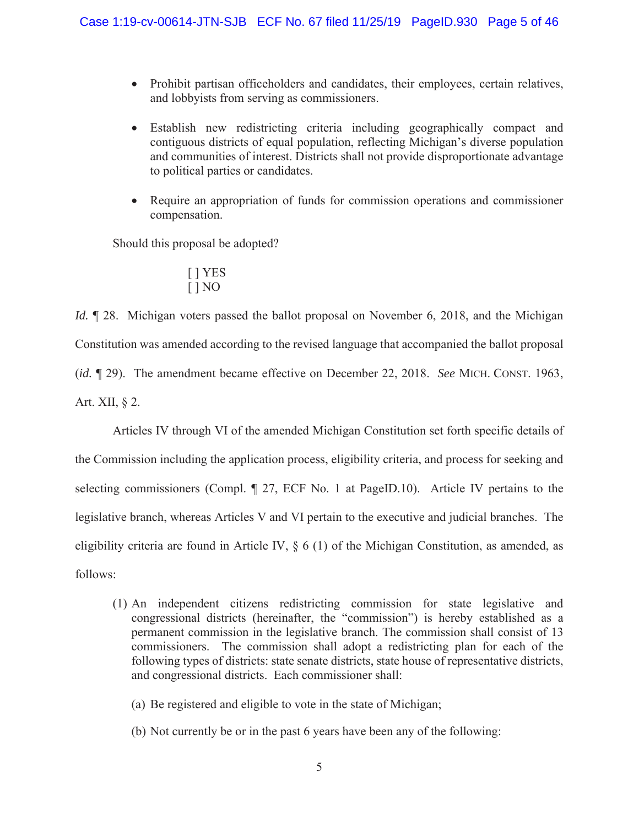- Prohibit partisan officeholders and candidates, their employees, certain relatives, and lobbyists from serving as commissioners.
- Establish new redistricting criteria including geographically compact and contiguous districts of equal population, reflecting Michigan's diverse population and communities of interest. Districts shall not provide disproportionate advantage to political parties or candidates.
- Require an appropriation of funds for commission operations and commissioner compensation.

Should this proposal be adopted?

$$
\begin{array}{c} [\ ]\text{YES} \\ [\ ]\text{NO} \end{array}
$$

*Id.*  $\llbracket$  28. Michigan voters passed the ballot proposal on November 6, 2018, and the Michigan Constitution was amended according to the revised language that accompanied the ballot proposal (*id.* ¶ 29). The amendment became effective on December 22, 2018. *See* MICH. CONST. 1963, Art. XII, § 2.

Articles IV through VI of the amended Michigan Constitution set forth specific details of the Commission including the application process, eligibility criteria, and process for seeking and selecting commissioners (Compl. ¶ 27, ECF No. 1 at PageID.10). Article IV pertains to the legislative branch, whereas Articles V and VI pertain to the executive and judicial branches. The eligibility criteria are found in Article IV,  $\S 6$  (1) of the Michigan Constitution, as amended, as follows:

- (1) An independent citizens redistricting commission for state legislative and congressional districts (hereinafter, the "commission") is hereby established as a permanent commission in the legislative branch. The commission shall consist of 13 commissioners. The commission shall adopt a redistricting plan for each of the following types of districts: state senate districts, state house of representative districts, and congressional districts. Each commissioner shall:
	- (a) Be registered and eligible to vote in the state of Michigan;
	- (b) Not currently be or in the past 6 years have been any of the following: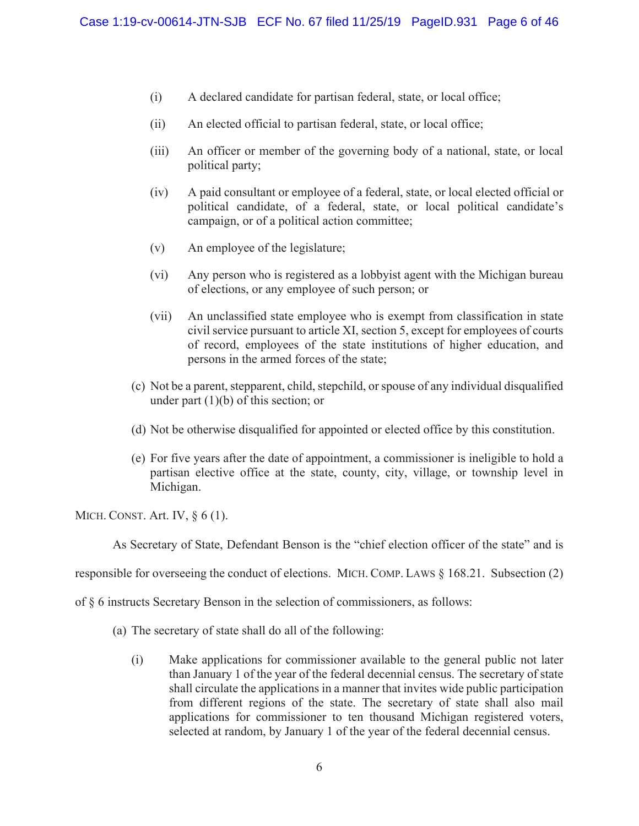- (i) A declared candidate for partisan federal, state, or local office;
- (ii) An elected official to partisan federal, state, or local office;
- (iii) An officer or member of the governing body of a national, state, or local political party;
- (iv) A paid consultant or employee of a federal, state, or local elected official or political candidate, of a federal, state, or local political candidate's campaign, or of a political action committee;
- (v) An employee of the legislature;
- (vi) Any person who is registered as a lobbyist agent with the Michigan bureau of elections, or any employee of such person; or
- (vii) An unclassified state employee who is exempt from classification in state civil service pursuant to article XI, section 5, except for employees of courts of record, employees of the state institutions of higher education, and persons in the armed forces of the state;
- (c) Not be a parent, stepparent, child, stepchild, or spouse of any individual disqualified under part  $(1)(b)$  of this section; or
- (d) Not be otherwise disqualified for appointed or elected office by this constitution.
- (e) For five years after the date of appointment, a commissioner is ineligible to hold a partisan elective office at the state, county, city, village, or township level in Michigan.

MICH. CONST. Art. IV, § 6 (1).

As Secretary of State, Defendant Benson is the "chief election officer of the state" and is

responsible for overseeing the conduct of elections. MICH. COMP. LAWS § 168.21. Subsection (2)

of § 6 instructs Secretary Benson in the selection of commissioners, as follows:

- (a) The secretary of state shall do all of the following:
	- (i) Make applications for commissioner available to the general public not later than January 1 of the year of the federal decennial census. The secretary of state shall circulate the applications in a manner that invites wide public participation from different regions of the state. The secretary of state shall also mail applications for commissioner to ten thousand Michigan registered voters, selected at random, by January 1 of the year of the federal decennial census.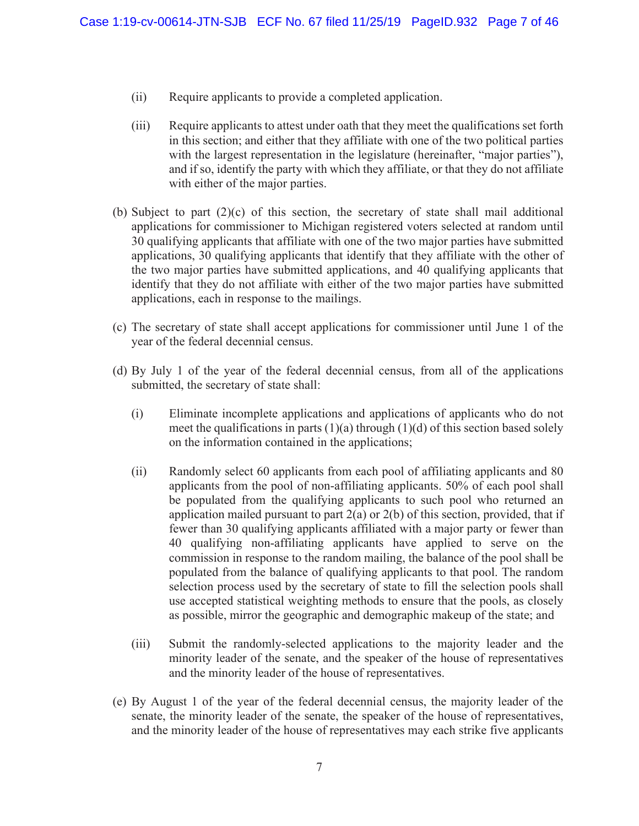- (ii) Require applicants to provide a completed application.
- (iii) Require applicants to attest under oath that they meet the qualifications set forth in this section; and either that they affiliate with one of the two political parties with the largest representation in the legislature (hereinafter, "major parties"), and if so, identify the party with which they affiliate, or that they do not affiliate with either of the major parties.
- (b) Subject to part  $(2)(c)$  of this section, the secretary of state shall mail additional applications for commissioner to Michigan registered voters selected at random until 30 qualifying applicants that affiliate with one of the two major parties have submitted applications, 30 qualifying applicants that identify that they affiliate with the other of the two major parties have submitted applications, and 40 qualifying applicants that identify that they do not affiliate with either of the two major parties have submitted applications, each in response to the mailings.
- (c) The secretary of state shall accept applications for commissioner until June 1 of the year of the federal decennial census.
- (d) By July 1 of the year of the federal decennial census, from all of the applications submitted, the secretary of state shall:
	- (i) Eliminate incomplete applications and applications of applicants who do not meet the qualifications in parts  $(1)(a)$  through  $(1)(d)$  of this section based solely on the information contained in the applications;
	- (ii) Randomly select 60 applicants from each pool of affiliating applicants and 80 applicants from the pool of non-affiliating applicants. 50% of each pool shall be populated from the qualifying applicants to such pool who returned an application mailed pursuant to part  $2(a)$  or  $2(b)$  of this section, provided, that if fewer than 30 qualifying applicants affiliated with a major party or fewer than 40 qualifying non-affiliating applicants have applied to serve on the commission in response to the random mailing, the balance of the pool shall be populated from the balance of qualifying applicants to that pool. The random selection process used by the secretary of state to fill the selection pools shall use accepted statistical weighting methods to ensure that the pools, as closely as possible, mirror the geographic and demographic makeup of the state; and
	- (iii) Submit the randomly-selected applications to the majority leader and the minority leader of the senate, and the speaker of the house of representatives and the minority leader of the house of representatives.
- (e) By August 1 of the year of the federal decennial census, the majority leader of the senate, the minority leader of the senate, the speaker of the house of representatives, and the minority leader of the house of representatives may each strike five applicants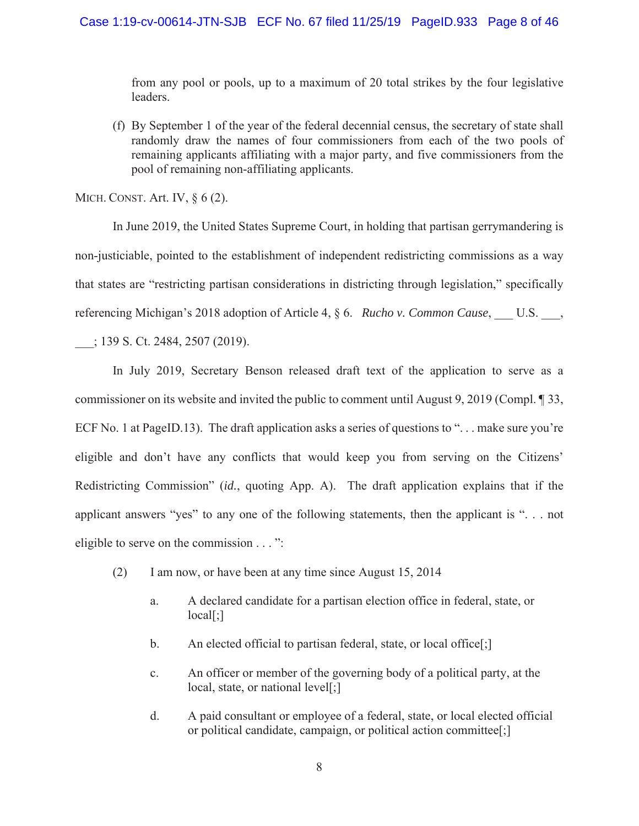from any pool or pools, up to a maximum of 20 total strikes by the four legislative leaders.

(f) By September 1 of the year of the federal decennial census, the secretary of state shall randomly draw the names of four commissioners from each of the two pools of remaining applicants affiliating with a major party, and five commissioners from the pool of remaining non-affiliating applicants.

MICH. CONST. Art. IV, § 6 (2).

In June 2019, the United States Supreme Court, in holding that partisan gerrymandering is non-justiciable, pointed to the establishment of independent redistricting commissions as a way that states are "restricting partisan considerations in districting through legislation," specifically referencing Michigan's 2018 adoption of Article 4, § 6. *Rucho v. Common Cause*, U.S.,

\_\_\_; 139 S. Ct. 2484, 2507 (2019).

In July 2019, Secretary Benson released draft text of the application to serve as a commissioner on its website and invited the public to comment until August 9, 2019 (Compl. ¶ 33, ECF No. 1 at PageID.13). The draft application asks a series of questions to "... make sure you're eligible and don't have any conflicts that would keep you from serving on the Citizens' Redistricting Commission" (*id.*, quoting App. A). The draft application explains that if the applicant answers "yes" to any one of the following statements, then the applicant is ". . . not eligible to serve on the commission . . . ":

- (2) I am now, or have been at any time since August 15, 2014
	- a. A declared candidate for a partisan election office in federal, state, or local[;]
	- b. An elected official to partisan federal, state, or local office[;]
	- c. An officer or member of the governing body of a political party, at the local, state, or national level[;]
	- d. A paid consultant or employee of a federal, state, or local elected official or political candidate, campaign, or political action committee[;]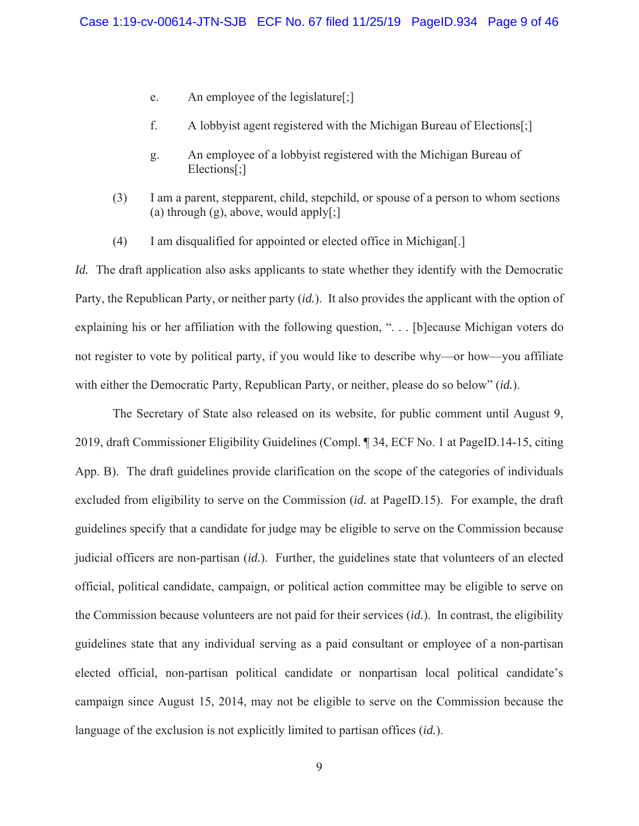- e. An employee of the legislature[;]
- f. A lobbyist agent registered with the Michigan Bureau of Elections[;]
- g. An employee of a lobbyist registered with the Michigan Bureau of Elections[;]
- (3) I am a parent, stepparent, child, stepchild, or spouse of a person to whom sections (a) through  $(g)$ , above, would apply $[\cdot]$
- (4) I am disqualified for appointed or elected office in Michigan[.]

*Id.* The draft application also asks applicants to state whether they identify with the Democratic Party, the Republican Party, or neither party (*id.*). It also provides the applicant with the option of explaining his or her affiliation with the following question, ". . . [b]ecause Michigan voters do not register to vote by political party, if you would like to describe why—or how—you affiliate with either the Democratic Party, Republican Party, or neither, please do so below" (*id.*).

The Secretary of State also released on its website, for public comment until August 9, 2019, draft Commissioner Eligibility Guidelines (Compl. ¶ 34, ECF No. 1 at PageID.14-15, citing App. B). The draft guidelines provide clarification on the scope of the categories of individuals excluded from eligibility to serve on the Commission (*id.* at PageID.15). For example, the draft guidelines specify that a candidate for judge may be eligible to serve on the Commission because judicial officers are non-partisan (*id.*). Further, the guidelines state that volunteers of an elected official, political candidate, campaign, or political action committee may be eligible to serve on the Commission because volunteers are not paid for their services (*id.*). In contrast, the eligibility guidelines state that any individual serving as a paid consultant or employee of a non-partisan elected official, non-partisan political candidate or nonpartisan local political candidate's campaign since August 15, 2014, may not be eligible to serve on the Commission because the language of the exclusion is not explicitly limited to partisan offices (*id.*).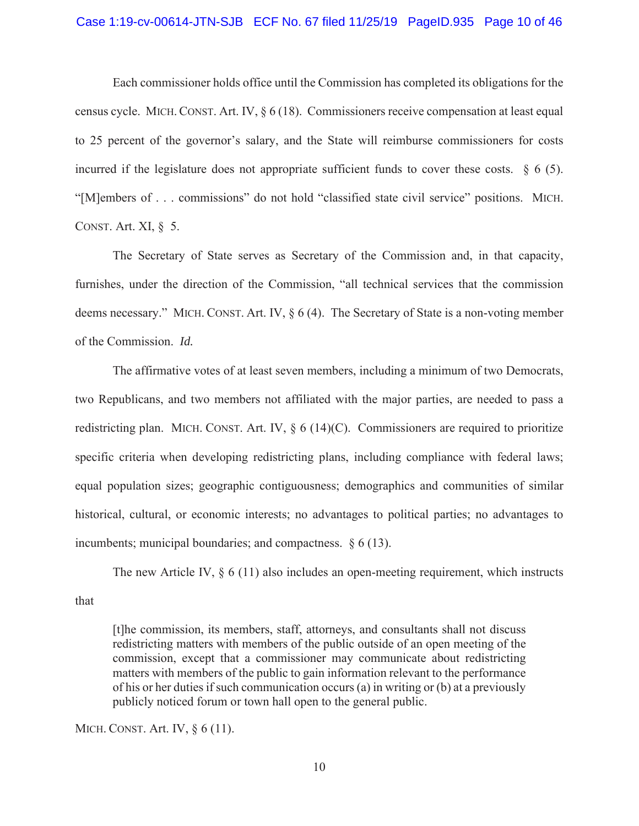#### Case 1:19-cv-00614-JTN-SJB ECF No. 67 filed 11/25/19 PageID.935 Page 10 of 46

Each commissioner holds office until the Commission has completed its obligations for the census cycle. MICH. CONST. Art. IV, § 6 (18). Commissioners receive compensation at least equal to 25 percent of the governor's salary, and the State will reimburse commissioners for costs incurred if the legislature does not appropriate sufficient funds to cover these costs.  $\delta$  6 (5). "[M]embers of . . . commissions" do not hold "classified state civil service" positions. MICH. CONST. Art. XI, § 5.

The Secretary of State serves as Secretary of the Commission and, in that capacity, furnishes, under the direction of the Commission, "all technical services that the commission deems necessary." MICH. CONST. Art. IV, § 6 (4). The Secretary of State is a non-voting member of the Commission. *Id.*

The affirmative votes of at least seven members, including a minimum of two Democrats, two Republicans, and two members not affiliated with the major parties, are needed to pass a redistricting plan. MICH. CONST. Art. IV,  $\S 6 (14)(C)$ . Commissioners are required to prioritize specific criteria when developing redistricting plans, including compliance with federal laws; equal population sizes; geographic contiguousness; demographics and communities of similar historical, cultural, or economic interests; no advantages to political parties; no advantages to incumbents; municipal boundaries; and compactness. § 6 (13).

The new Article IV,  $\S 6$  (11) also includes an open-meeting requirement, which instructs that

[t]he commission, its members, staff, attorneys, and consultants shall not discuss redistricting matters with members of the public outside of an open meeting of the commission, except that a commissioner may communicate about redistricting matters with members of the public to gain information relevant to the performance of his or her duties if such communication occurs (a) in writing or (b) at a previously publicly noticed forum or town hall open to the general public.

MICH. CONST. Art. IV, § 6 (11).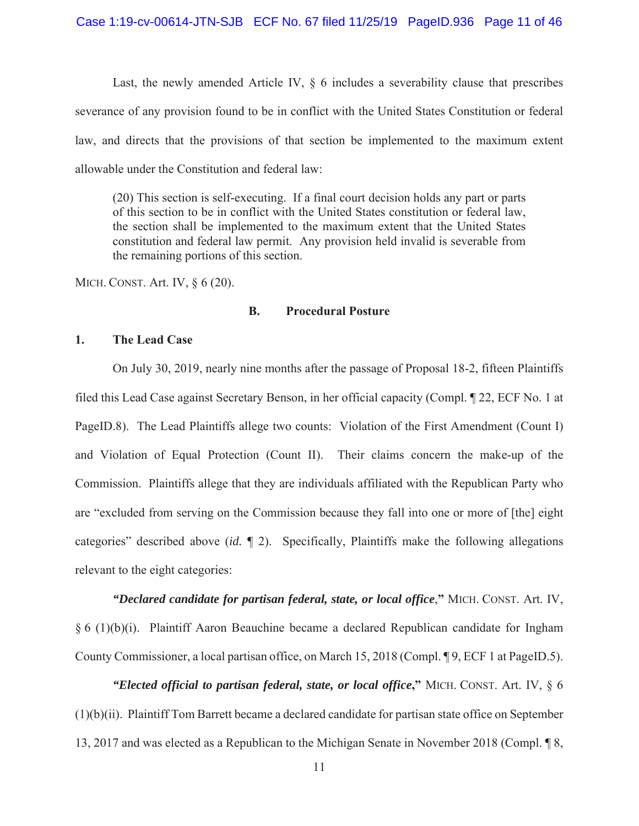Last, the newly amended Article IV,  $\S$  6 includes a severability clause that prescribes severance of any provision found to be in conflict with the United States Constitution or federal law, and directs that the provisions of that section be implemented to the maximum extent allowable under the Constitution and federal law:

(20) This section is self-executing. If a final court decision holds any part or parts of this section to be in conflict with the United States constitution or federal law, the section shall be implemented to the maximum extent that the United States constitution and federal law permit. Any provision held invalid is severable from the remaining portions of this section.

MICH. CONST. Art. IV, § 6 (20).

# **B. Procedural Posture**

# **1. The Lead Case**

On July 30, 2019, nearly nine months after the passage of Proposal 18-2, fifteen Plaintiffs filed this Lead Case against Secretary Benson, in her official capacity (Compl. ¶ 22, ECF No. 1 at PageID.8). The Lead Plaintiffs allege two counts: Violation of the First Amendment (Count I) and Violation of Equal Protection (Count II). Their claims concern the make-up of the Commission. Plaintiffs allege that they are individuals affiliated with the Republican Party who are "excluded from serving on the Commission because they fall into one or more of [the] eight categories" described above (*id.* ¶ 2). Specifically, Plaintiffs make the following allegations relevant to the eight categories:

*"Declared candidate for partisan federal, state, or local office*,**"** MICH. CONST. Art. IV, § 6 (1)(b)(i). Plaintiff Aaron Beauchine became a declared Republican candidate for Ingham County Commissioner, a local partisan office, on March 15, 2018 (Compl. ¶ 9, ECF 1 at PageID.5).

*"Elected official to partisan federal, state, or local office***,"** MICH. CONST. Art. IV, § 6 (1)(b)(ii). Plaintiff Tom Barrett became a declared candidate for partisan state office on September 13, 2017 and was elected as a Republican to the Michigan Senate in November 2018 (Compl. ¶ 8,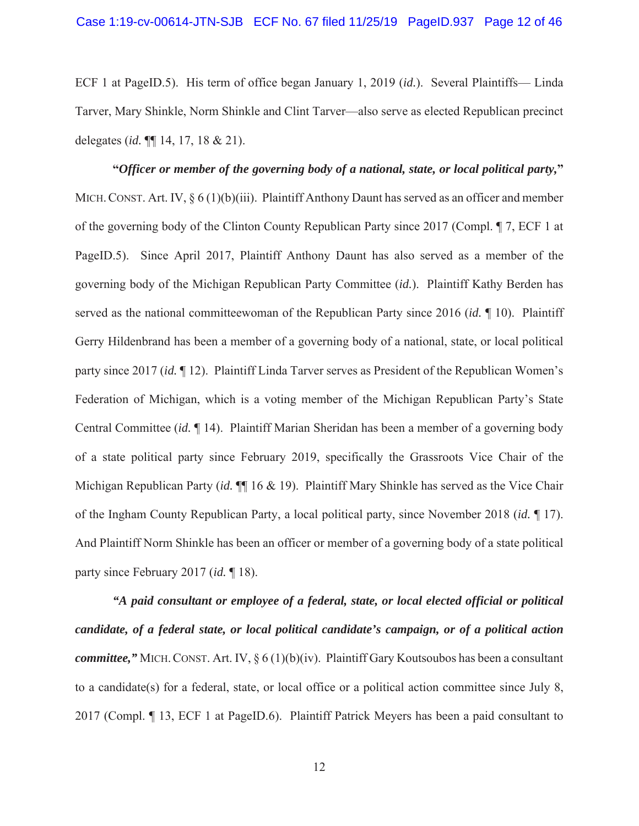ECF 1 at PageID.5). His term of office began January 1, 2019 (*id.*). Several Plaintiffs— Linda Tarver, Mary Shinkle, Norm Shinkle and Clint Tarver—also serve as elected Republican precinct delegates (*id.* ¶¶ 14, 17, 18 & 21).

**"***Officer or member of the governing body of a national, state, or local political party,***"** MICH. CONST. Art. IV,  $\S 6 (1)(b)(iii)$ . Plaintiff Anthony Daunt has served as an officer and member of the governing body of the Clinton County Republican Party since 2017 (Compl. ¶ 7, ECF 1 at PageID.5). Since April 2017, Plaintiff Anthony Daunt has also served as a member of the governing body of the Michigan Republican Party Committee (*id.*). Plaintiff Kathy Berden has served as the national committeewoman of the Republican Party since 2016 (*id.* ¶ 10). Plaintiff Gerry Hildenbrand has been a member of a governing body of a national, state, or local political party since 2017 (*id.* ¶ 12). Plaintiff Linda Tarver serves as President of the Republican Women's Federation of Michigan, which is a voting member of the Michigan Republican Party's State Central Committee (*id.* ¶ 14). Plaintiff Marian Sheridan has been a member of a governing body of a state political party since February 2019, specifically the Grassroots Vice Chair of the Michigan Republican Party (*id.* ¶¶ 16 & 19). Plaintiff Mary Shinkle has served as the Vice Chair of the Ingham County Republican Party, a local political party, since November 2018 (*id.* ¶ 17). And Plaintiff Norm Shinkle has been an officer or member of a governing body of a state political party since February 2017 (*id.* ¶ 18).

*"A paid consultant or employee of a federal, state, or local elected official or political candidate, of a federal state, or local political candidate's campaign, or of a political action committee,"* MICH. CONST. Art. IV, § 6 (1)(b)(iv). Plaintiff Gary Koutsoubos has been a consultant to a candidate(s) for a federal, state, or local office or a political action committee since July 8, 2017 (Compl. ¶ 13, ECF 1 at PageID.6). Plaintiff Patrick Meyers has been a paid consultant to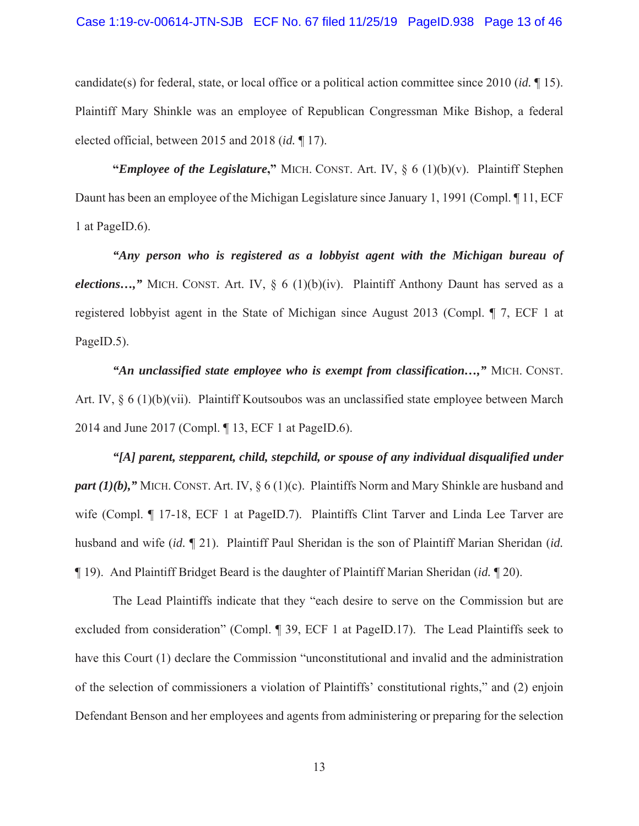#### Case 1:19-cv-00614-JTN-SJB ECF No. 67 filed 11/25/19 PageID.938 Page 13 of 46

candidate(s) for federal, state, or local office or a political action committee since 2010 (*id.* ¶ 15). Plaintiff Mary Shinkle was an employee of Republican Congressman Mike Bishop, a federal elected official, between 2015 and 2018 (*id.* ¶ 17).

**"***Employee of the Legislature***,"** MICH. CONST. Art. IV, § 6 (1)(b)(v). Plaintiff Stephen Daunt has been an employee of the Michigan Legislature since January 1, 1991 (Compl. ¶ 11, ECF 1 at PageID.6).

*"Any person who is registered as a lobbyist agent with the Michigan bureau of elections...*," MICH. CONST. Art. IV, § 6 (1)(b)(iv). Plaintiff Anthony Daunt has served as a registered lobbyist agent in the State of Michigan since August 2013 (Compl. ¶ 7, ECF 1 at PageID.5).

*"An unclassified state employee who is exempt from classification…,"* MICH. CONST. Art. IV, § 6 (1)(b)(vii). Plaintiff Koutsoubos was an unclassified state employee between March 2014 and June 2017 (Compl. ¶ 13, ECF 1 at PageID.6).

*"[A] parent, stepparent, child, stepchild, or spouse of any individual disqualified under part (1)(b),*" MICH. CONST. Art. IV, § 6 (1)(c). Plaintiffs Norm and Mary Shinkle are husband and wife (Compl. ¶ 17-18, ECF 1 at PageID.7). Plaintiffs Clint Tarver and Linda Lee Tarver are husband and wife (*id.* ¶ 21). Plaintiff Paul Sheridan is the son of Plaintiff Marian Sheridan (*id.* ¶ 19). And Plaintiff Bridget Beard is the daughter of Plaintiff Marian Sheridan (*id.* ¶ 20).

The Lead Plaintiffs indicate that they "each desire to serve on the Commission but are excluded from consideration" (Compl. ¶ 39, ECF 1 at PageID.17). The Lead Plaintiffs seek to have this Court (1) declare the Commission "unconstitutional and invalid and the administration of the selection of commissioners a violation of Plaintiffs' constitutional rights," and (2) enjoin Defendant Benson and her employees and agents from administering or preparing for the selection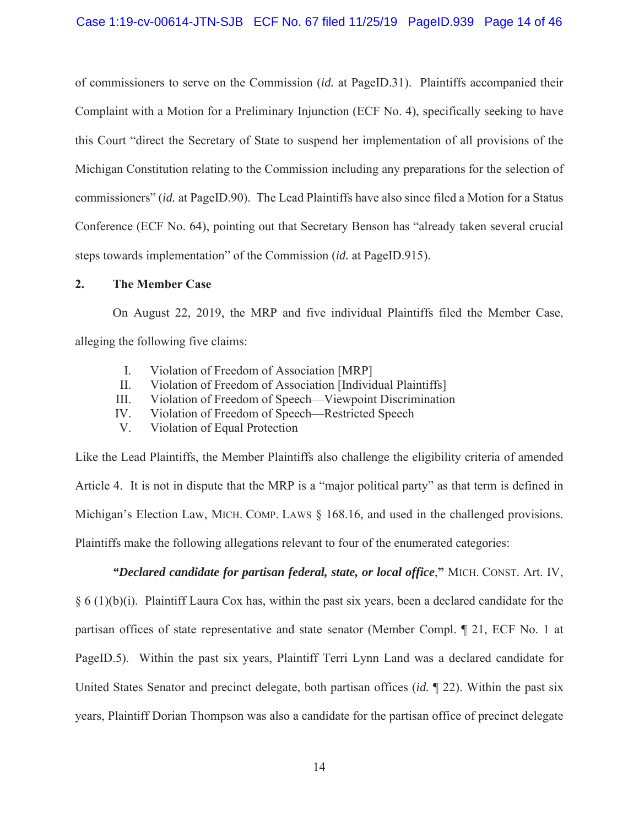of commissioners to serve on the Commission (*id.* at PageID.31). Plaintiffs accompanied their Complaint with a Motion for a Preliminary Injunction (ECF No. 4), specifically seeking to have this Court "direct the Secretary of State to suspend her implementation of all provisions of the Michigan Constitution relating to the Commission including any preparations for the selection of commissioners" (*id.* at PageID.90). The Lead Plaintiffs have also since filed a Motion for a Status Conference (ECF No. 64), pointing out that Secretary Benson has "already taken several crucial steps towards implementation" of the Commission (*id.* at PageID.915).

## **2. The Member Case**

On August 22, 2019, the MRP and five individual Plaintiffs filed the Member Case, alleging the following five claims:

- I. Violation of Freedom of Association [MRP]
- II. Violation of Freedom of Association [Individual Plaintiffs]
- III. Violation of Freedom of Speech—Viewpoint Discrimination
- IV. Violation of Freedom of Speech—Restricted Speech
- V. Violation of Equal Protection

Like the Lead Plaintiffs, the Member Plaintiffs also challenge the eligibility criteria of amended Article 4. It is not in dispute that the MRP is a "major political party" as that term is defined in Michigan's Election Law, MICH. COMP. LAWS  $\S$  168.16, and used in the challenged provisions. Plaintiffs make the following allegations relevant to four of the enumerated categories:

*"Declared candidate for partisan federal, state, or local office*,**"** MICH. CONST. Art. IV,

 $§ 6 (1)(b)(i)$ . Plaintiff Laura Cox has, within the past six years, been a declared candidate for the partisan offices of state representative and state senator (Member Compl. ¶ 21, ECF No. 1 at PageID.5). Within the past six years, Plaintiff Terri Lynn Land was a declared candidate for United States Senator and precinct delegate, both partisan offices (*id.* ¶ 22). Within the past six years, Plaintiff Dorian Thompson was also a candidate for the partisan office of precinct delegate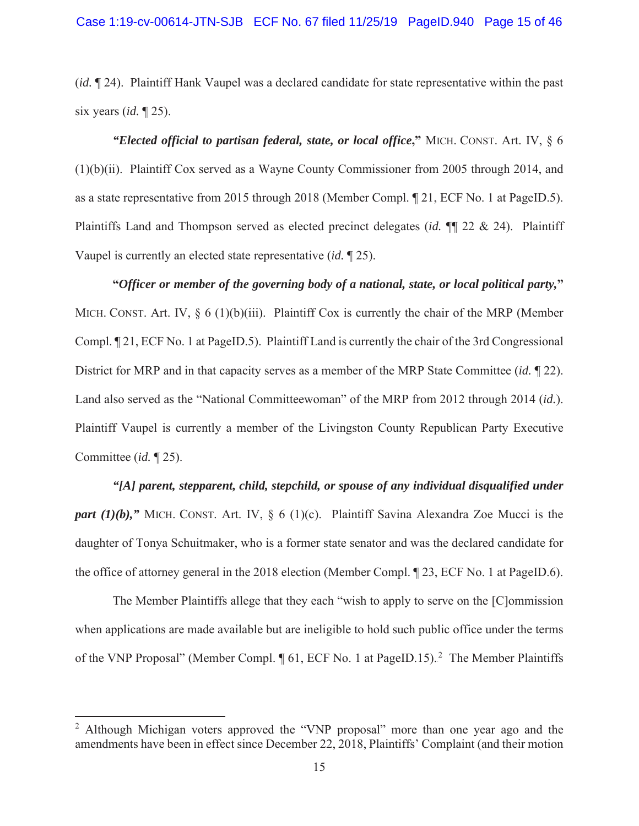(*id.* ¶ 24). Plaintiff Hank Vaupel was a declared candidate for state representative within the past six years (*id.* ¶ 25).

*"Elected official to partisan federal, state, or local office***,"** MICH. CONST. Art. IV, § 6 (1)(b)(ii). Plaintiff Cox served as a Wayne County Commissioner from 2005 through 2014, and as a state representative from 2015 through 2018 (Member Compl. ¶ 21, ECF No. 1 at PageID.5). Plaintiffs Land and Thompson served as elected precinct delegates (*id.* ¶¶ 22 & 24). Plaintiff Vaupel is currently an elected state representative (*id.* ¶ 25).

**"***Officer or member of the governing body of a national, state, or local political party,***"** MICH. CONST. Art. IV,  $\S 6 (1)(b)(iii)$ . Plaintiff Cox is currently the chair of the MRP (Member Compl. ¶ 21, ECF No. 1 at PageID.5). Plaintiff Land is currently the chair of the 3rd Congressional District for MRP and in that capacity serves as a member of the MRP State Committee (*id.* ¶ 22). Land also served as the "National Committeewoman" of the MRP from 2012 through 2014 (*id.*). Plaintiff Vaupel is currently a member of the Livingston County Republican Party Executive Committee (*id.* ¶ 25).

*"[A] parent, stepparent, child, stepchild, or spouse of any individual disqualified under part (1)(b),*" MICH. CONST. Art. IV, § 6 (1)(c). Plaintiff Savina Alexandra Zoe Mucci is the daughter of Tonya Schuitmaker, who is a former state senator and was the declared candidate for the office of attorney general in the 2018 election (Member Compl. ¶ 23, ECF No. 1 at PageID.6).

The Member Plaintiffs allege that they each "wish to apply to serve on the [C]ommission when applications are made available but are ineligible to hold such public office under the terms of the VNP Proposal" (Member Compl. 1 61, ECF No. 1 at PageID.15).<sup>2</sup> The Member Plaintiffs

<sup>&</sup>lt;sup>2</sup> Although Michigan voters approved the "VNP proposal" more than one year ago and the amendments have been in effect since December 22, 2018, Plaintiffs' Complaint (and their motion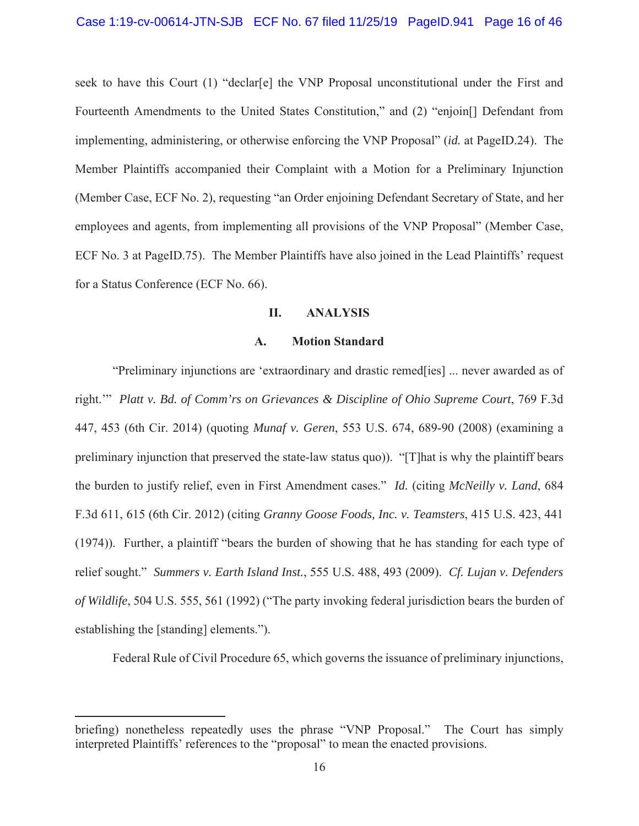seek to have this Court (1) "declar[e] the VNP Proposal unconstitutional under the First and Fourteenth Amendments to the United States Constitution," and (2) "enjoin[] Defendant from implementing, administering, or otherwise enforcing the VNP Proposal" (*id.* at PageID.24). The Member Plaintiffs accompanied their Complaint with a Motion for a Preliminary Injunction (Member Case, ECF No. 2), requesting "an Order enjoining Defendant Secretary of State, and her employees and agents, from implementing all provisions of the VNP Proposal" (Member Case, ECF No. 3 at PageID.75). The Member Plaintiffs have also joined in the Lead Plaintiffs' request for a Status Conference (ECF No. 66).

#### **II. ANALYSIS**

#### **A. Motion Standard**

"Preliminary injunctions are 'extraordinary and drastic remed[ies] ... never awarded as of right.'" *Platt v. Bd. of Comm'rs on Grievances & Discipline of Ohio Supreme Court*, 769 F.3d 447, 453 (6th Cir. 2014) (quoting *Munaf v. Geren*, 553 U.S. 674, 689-90 (2008) (examining a preliminary injunction that preserved the state-law status quo)). "[T]hat is why the plaintiff bears the burden to justify relief, even in First Amendment cases." *Id.* (citing *McNeilly v. Land*, 684 F.3d 611, 615 (6th Cir. 2012) (citing *Granny Goose Foods, Inc. v. Teamsters*, 415 U.S. 423, 441 (1974)). Further, a plaintiff "bears the burden of showing that he has standing for each type of relief sought." *Summers v. Earth Island Inst.*, 555 U.S. 488, 493 (2009). *Cf. Lujan v. Defenders of Wildlife*, 504 U.S. 555, 561 (1992) ("The party invoking federal jurisdiction bears the burden of establishing the [standing] elements.").

Federal Rule of Civil Procedure 65, which governs the issuance of preliminary injunctions,

briefing) nonetheless repeatedly uses the phrase "VNP Proposal." The Court has simply interpreted Plaintiffs' references to the "proposal" to mean the enacted provisions.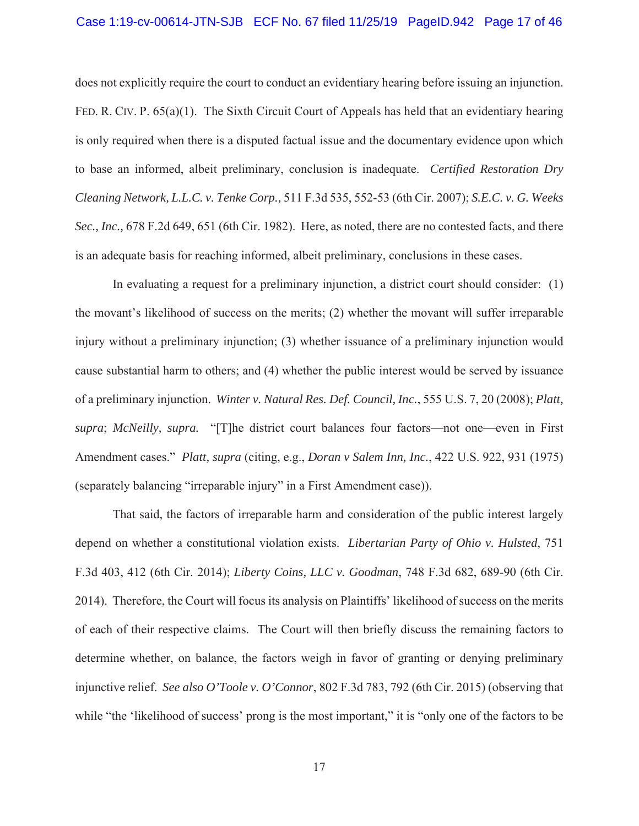#### Case 1:19-cv-00614-JTN-SJB ECF No. 67 filed 11/25/19 PageID.942 Page 17 of 46

does not explicitly require the court to conduct an evidentiary hearing before issuing an injunction. FED. R. CIV. P. 65(a)(1). The Sixth Circuit Court of Appeals has held that an evidentiary hearing is only required when there is a disputed factual issue and the documentary evidence upon which to base an informed, albeit preliminary, conclusion is inadequate. *Certified Restoration Dry Cleaning Network, L.L.C. v. Tenke Corp.,* 511 F.3d 535, 552-53 (6th Cir. 2007); *S.E.C. v. G. Weeks Sec., Inc.,* 678 F.2d 649, 651 (6th Cir. 1982). Here, as noted, there are no contested facts, and there is an adequate basis for reaching informed, albeit preliminary, conclusions in these cases.

In evaluating a request for a preliminary injunction, a district court should consider: (1) the movant's likelihood of success on the merits; (2) whether the movant will suffer irreparable injury without a preliminary injunction; (3) whether issuance of a preliminary injunction would cause substantial harm to others; and (4) whether the public interest would be served by issuance of a preliminary injunction. *Winter v. Natural Res. Def. Council, Inc.*, 555 U.S. 7, 20 (2008); *Platt, supra*; *McNeilly, supra.* "[T]he district court balances four factors—not one—even in First Amendment cases." *Platt, supra* (citing, e.g., *Doran v Salem Inn, Inc.*, 422 U.S. 922, 931 (1975) (separately balancing "irreparable injury" in a First Amendment case)).

That said, the factors of irreparable harm and consideration of the public interest largely depend on whether a constitutional violation exists. *Libertarian Party of Ohio v. Hulsted*, 751 F.3d 403, 412 (6th Cir. 2014); *Liberty Coins, LLC v. Goodman*, 748 F.3d 682, 689-90 (6th Cir. 2014). Therefore, the Court will focus its analysis on Plaintiffs' likelihood of success on the merits of each of their respective claims. The Court will then briefly discuss the remaining factors to determine whether, on balance, the factors weigh in favor of granting or denying preliminary injunctive relief. *See also O'Toole v. O'Connor*, 802 F.3d 783, 792 (6th Cir. 2015) (observing that while "the 'likelihood of success' prong is the most important," it is "only one of the factors to be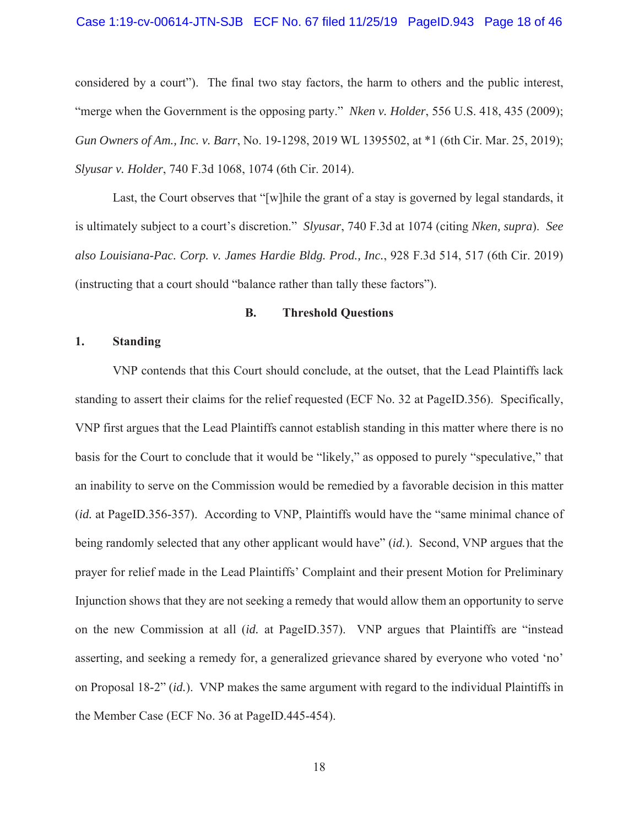#### Case 1:19-cv-00614-JTN-SJB ECF No. 67 filed 11/25/19 PageID.943 Page 18 of 46

considered by a court"). The final two stay factors, the harm to others and the public interest, "merge when the Government is the opposing party." *Nken v. Holder*, 556 U.S. 418, 435 (2009); *Gun Owners of Am., Inc. v. Barr*, No. 19-1298, 2019 WL 1395502, at \*1 (6th Cir. Mar. 25, 2019); *Slyusar v. Holder*, 740 F.3d 1068, 1074 (6th Cir. 2014).

Last, the Court observes that "[w]hile the grant of a stay is governed by legal standards, it is ultimately subject to a court's discretion." *Slyusar*, 740 F.3d at 1074 (citing *Nken, supra*). *See also Louisiana-Pac. Corp. v. James Hardie Bldg. Prod., Inc.*, 928 F.3d 514, 517 (6th Cir. 2019) (instructing that a court should "balance rather than tally these factors").

#### **B. Threshold Questions**

## **1. Standing**

VNP contends that this Court should conclude, at the outset, that the Lead Plaintiffs lack standing to assert their claims for the relief requested (ECF No. 32 at PageID.356). Specifically, VNP first argues that the Lead Plaintiffs cannot establish standing in this matter where there is no basis for the Court to conclude that it would be "likely," as opposed to purely "speculative," that an inability to serve on the Commission would be remedied by a favorable decision in this matter (*id.* at PageID.356-357). According to VNP, Plaintiffs would have the "same minimal chance of being randomly selected that any other applicant would have" (*id.*). Second, VNP argues that the prayer for relief made in the Lead Plaintiffs' Complaint and their present Motion for Preliminary Injunction shows that they are not seeking a remedy that would allow them an opportunity to serve on the new Commission at all (*id.* at PageID.357). VNP argues that Plaintiffs are "instead asserting, and seeking a remedy for, a generalized grievance shared by everyone who voted 'no' on Proposal 18-2" (*id.*). VNP makes the same argument with regard to the individual Plaintiffs in the Member Case (ECF No. 36 at PageID.445-454).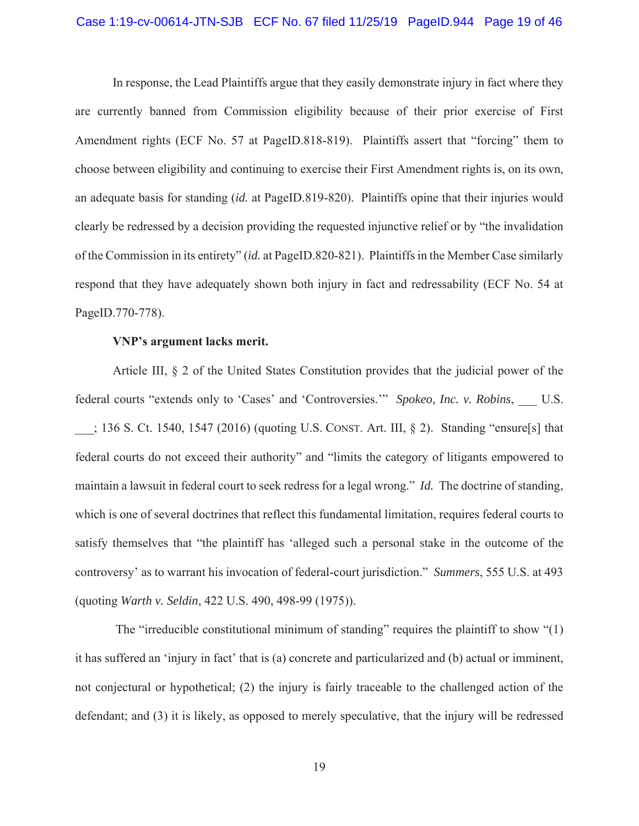#### Case 1:19-cv-00614-JTN-SJB ECF No. 67 filed 11/25/19 PageID.944 Page 19 of 46

In response, the Lead Plaintiffs argue that they easily demonstrate injury in fact where they are currently banned from Commission eligibility because of their prior exercise of First Amendment rights (ECF No. 57 at PageID.818-819). Plaintiffs assert that "forcing" them to choose between eligibility and continuing to exercise their First Amendment rights is, on its own, an adequate basis for standing (*id.* at PageID.819-820). Plaintiffs opine that their injuries would clearly be redressed by a decision providing the requested injunctive relief or by "the invalidation of the Commission in its entirety" (*id.* at PageID.820-821). Plaintiffs in the Member Case similarly respond that they have adequately shown both injury in fact and redressability (ECF No. 54 at PageID.770-778).

#### **VNP's argument lacks merit.**

Article III, § 2 of the United States Constitution provides that the judicial power of the federal courts "extends only to 'Cases' and 'Controversies."" *Spokeo, Inc. v. Robins*, U.S. \_\_\_; 136 S. Ct. 1540, 1547 (2016) (quoting U.S. CONST. Art. III, § 2). Standing "ensure[s] that federal courts do not exceed their authority" and "limits the category of litigants empowered to maintain a lawsuit in federal court to seek redress for a legal wrong." *Id.* The doctrine of standing, which is one of several doctrines that reflect this fundamental limitation, requires federal courts to satisfy themselves that "the plaintiff has 'alleged such a personal stake in the outcome of the controversy' as to warrant his invocation of federal-court jurisdiction." *Summers*, 555 U.S. at 493 (quoting *Warth v. Seldin*, 422 U.S. 490, 498-99 (1975)).

The "irreducible constitutional minimum of standing" requires the plaintiff to show "(1) it has suffered an 'injury in fact' that is (a) concrete and particularized and (b) actual or imminent, not conjectural or hypothetical; (2) the injury is fairly traceable to the challenged action of the defendant; and (3) it is likely, as opposed to merely speculative, that the injury will be redressed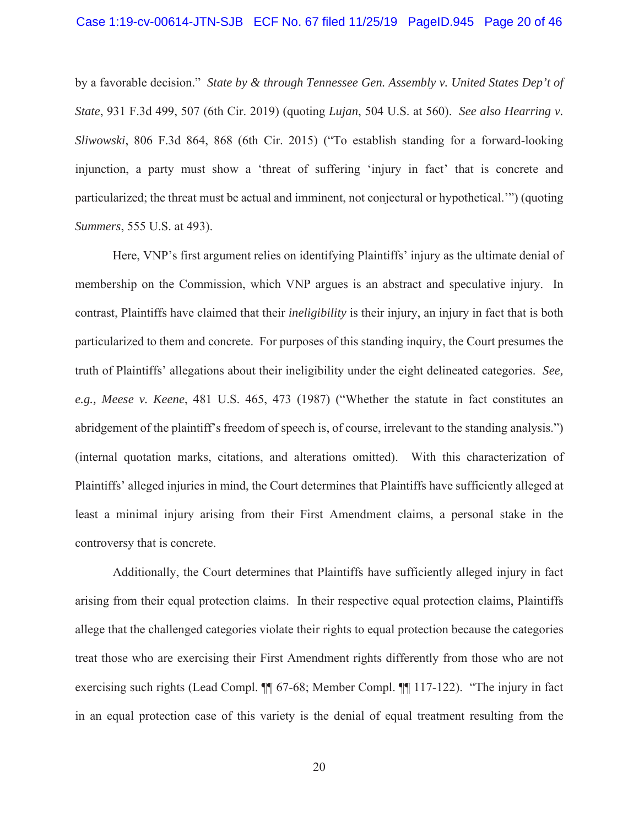#### Case 1:19-cv-00614-JTN-SJB ECF No. 67 filed 11/25/19 PageID.945 Page 20 of 46

by a favorable decision." *State by & through Tennessee Gen. Assembly v. United States Dep't of State*, 931 F.3d 499, 507 (6th Cir. 2019) (quoting *Lujan*, 504 U.S. at 560). *See also Hearring v. Sliwowski*, 806 F.3d 864, 868 (6th Cir. 2015) ("To establish standing for a forward-looking injunction, a party must show a 'threat of suffering 'injury in fact' that is concrete and particularized; the threat must be actual and imminent, not conjectural or hypothetical.'") (quoting *Summers*, 555 U.S. at 493).

Here, VNP's first argument relies on identifying Plaintiffs' injury as the ultimate denial of membership on the Commission, which VNP argues is an abstract and speculative injury. In contrast, Plaintiffs have claimed that their *ineligibility* is their injury, an injury in fact that is both particularized to them and concrete. For purposes of this standing inquiry, the Court presumes the truth of Plaintiffs' allegations about their ineligibility under the eight delineated categories. *See, e.g., Meese v. Keene*, 481 U.S. 465, 473 (1987) ("Whether the statute in fact constitutes an abridgement of the plaintiff's freedom of speech is, of course, irrelevant to the standing analysis.") (internal quotation marks, citations, and alterations omitted). With this characterization of Plaintiffs' alleged injuries in mind, the Court determines that Plaintiffs have sufficiently alleged at least a minimal injury arising from their First Amendment claims, a personal stake in the controversy that is concrete.

Additionally, the Court determines that Plaintiffs have sufficiently alleged injury in fact arising from their equal protection claims. In their respective equal protection claims, Plaintiffs allege that the challenged categories violate their rights to equal protection because the categories treat those who are exercising their First Amendment rights differently from those who are not exercising such rights (Lead Compl. ¶¶ 67-68; Member Compl. ¶¶ 117-122). "The injury in fact in an equal protection case of this variety is the denial of equal treatment resulting from the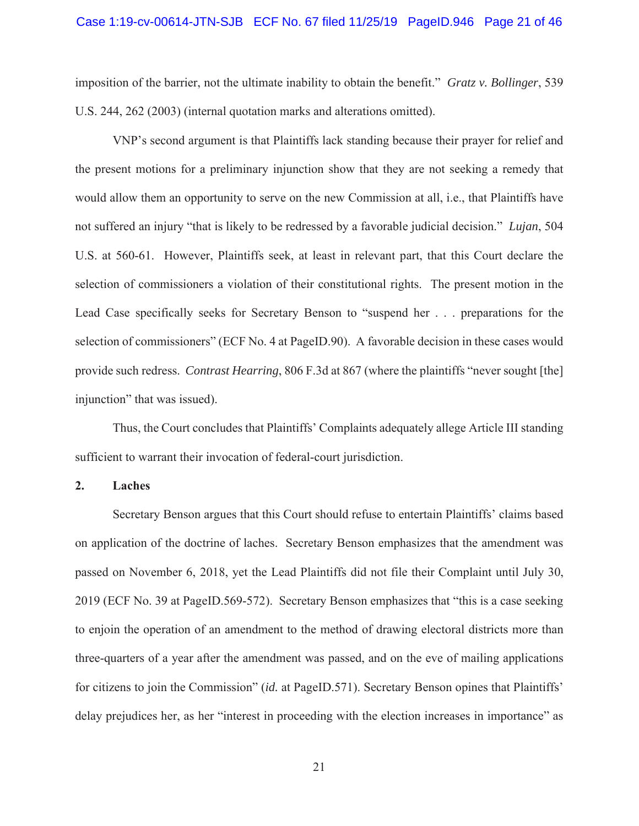# Case 1:19-cv-00614-JTN-SJB ECF No. 67 filed 11/25/19 PageID.946 Page 21 of 46

imposition of the barrier, not the ultimate inability to obtain the benefit." *Gratz v. Bollinger*, 539 U.S. 244, 262 (2003) (internal quotation marks and alterations omitted).

VNP's second argument is that Plaintiffs lack standing because their prayer for relief and the present motions for a preliminary injunction show that they are not seeking a remedy that would allow them an opportunity to serve on the new Commission at all, i.e., that Plaintiffs have not suffered an injury "that is likely to be redressed by a favorable judicial decision." *Lujan*, 504 U.S. at 560-61. However, Plaintiffs seek, at least in relevant part, that this Court declare the selection of commissioners a violation of their constitutional rights. The present motion in the Lead Case specifically seeks for Secretary Benson to "suspend her . . . preparations for the selection of commissioners" (ECF No. 4 at PageID.90). A favorable decision in these cases would provide such redress. *Contrast Hearring*, 806 F.3d at 867 (where the plaintiffs "never sought [the] injunction" that was issued).

Thus, the Court concludes that Plaintiffs' Complaints adequately allege Article III standing sufficient to warrant their invocation of federal-court jurisdiction.

#### **2. Laches**

Secretary Benson argues that this Court should refuse to entertain Plaintiffs' claims based on application of the doctrine of laches. Secretary Benson emphasizes that the amendment was passed on November 6, 2018, yet the Lead Plaintiffs did not file their Complaint until July 30, 2019 (ECF No. 39 at PageID.569-572). Secretary Benson emphasizes that "this is a case seeking to enjoin the operation of an amendment to the method of drawing electoral districts more than three-quarters of a year after the amendment was passed, and on the eve of mailing applications for citizens to join the Commission" (*id.* at PageID.571). Secretary Benson opines that Plaintiffs' delay prejudices her, as her "interest in proceeding with the election increases in importance" as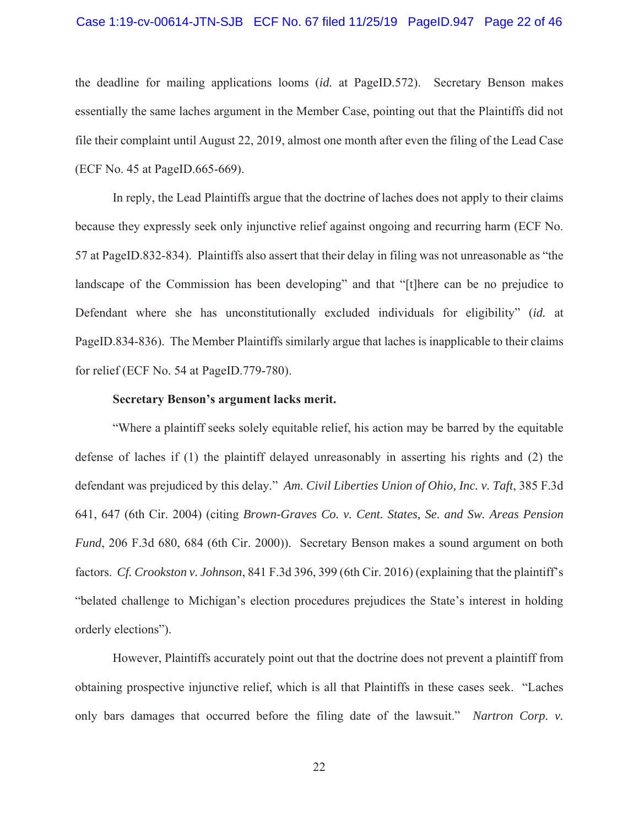# Case 1:19-cv-00614-JTN-SJB ECF No. 67 filed 11/25/19 PageID.947 Page 22 of 46

the deadline for mailing applications looms (*id.* at PageID.572). Secretary Benson makes essentially the same laches argument in the Member Case, pointing out that the Plaintiffs did not file their complaint until August 22, 2019, almost one month after even the filing of the Lead Case (ECF No. 45 at PageID.665-669).

In reply, the Lead Plaintiffs argue that the doctrine of laches does not apply to their claims because they expressly seek only injunctive relief against ongoing and recurring harm (ECF No. 57 at PageID.832-834). Plaintiffs also assert that their delay in filing was not unreasonable as "the landscape of the Commission has been developing" and that "[t]here can be no prejudice to Defendant where she has unconstitutionally excluded individuals for eligibility" (*id.* at PageID.834-836). The Member Plaintiffs similarly argue that laches is inapplicable to their claims for relief (ECF No. 54 at PageID.779-780).

## **Secretary Benson's argument lacks merit.**

"Where a plaintiff seeks solely equitable relief, his action may be barred by the equitable defense of laches if (1) the plaintiff delayed unreasonably in asserting his rights and (2) the defendant was prejudiced by this delay." *Am. Civil Liberties Union of Ohio, Inc. v. Taft*, 385 F.3d 641, 647 (6th Cir. 2004) (citing *Brown-Graves Co. v. Cent. States, Se. and Sw. Areas Pension Fund*, 206 F.3d 680, 684 (6th Cir. 2000)). Secretary Benson makes a sound argument on both factors. *Cf. Crookston v. Johnson*, 841 F.3d 396, 399 (6th Cir. 2016) (explaining that the plaintiff's "belated challenge to Michigan's election procedures prejudices the State's interest in holding orderly elections").

However, Plaintiffs accurately point out that the doctrine does not prevent a plaintiff from obtaining prospective injunctive relief, which is all that Plaintiffs in these cases seek. "Laches only bars damages that occurred before the filing date of the lawsuit." *Nartron Corp. v.*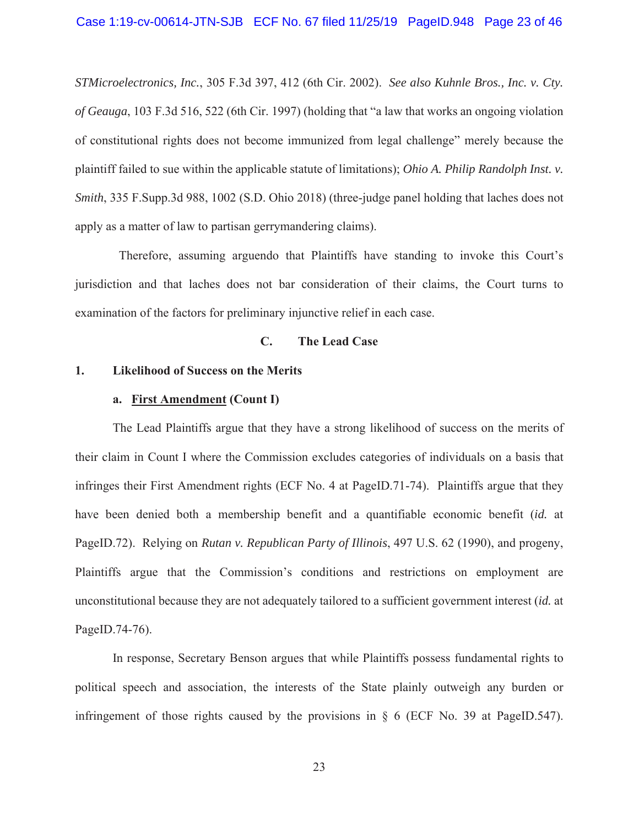*STMicroelectronics, Inc.*, 305 F.3d 397, 412 (6th Cir. 2002). *See also Kuhnle Bros., Inc. v. Cty. of Geauga*, 103 F.3d 516, 522 (6th Cir. 1997) (holding that "a law that works an ongoing violation of constitutional rights does not become immunized from legal challenge" merely because the plaintiff failed to sue within the applicable statute of limitations); *Ohio A. Philip Randolph Inst. v. Smith*, 335 F.Supp.3d 988, 1002 (S.D. Ohio 2018) (three-judge panel holding that laches does not apply as a matter of law to partisan gerrymandering claims).

Therefore, assuming arguendo that Plaintiffs have standing to invoke this Court's jurisdiction and that laches does not bar consideration of their claims, the Court turns to examination of the factors for preliminary injunctive relief in each case.

# **C. The Lead Case**

### **1. Likelihood of Success on the Merits**

#### **a. First Amendment (Count I)**

The Lead Plaintiffs argue that they have a strong likelihood of success on the merits of their claim in Count I where the Commission excludes categories of individuals on a basis that infringes their First Amendment rights (ECF No. 4 at PageID.71-74). Plaintiffs argue that they have been denied both a membership benefit and a quantifiable economic benefit (*id.* at PageID.72). Relying on *Rutan v. Republican Party of Illinois*, 497 U.S. 62 (1990), and progeny, Plaintiffs argue that the Commission's conditions and restrictions on employment are unconstitutional because they are not adequately tailored to a sufficient government interest (*id.* at PageID.74-76).

In response, Secretary Benson argues that while Plaintiffs possess fundamental rights to political speech and association, the interests of the State plainly outweigh any burden or infringement of those rights caused by the provisions in § 6 (ECF No. 39 at PageID.547).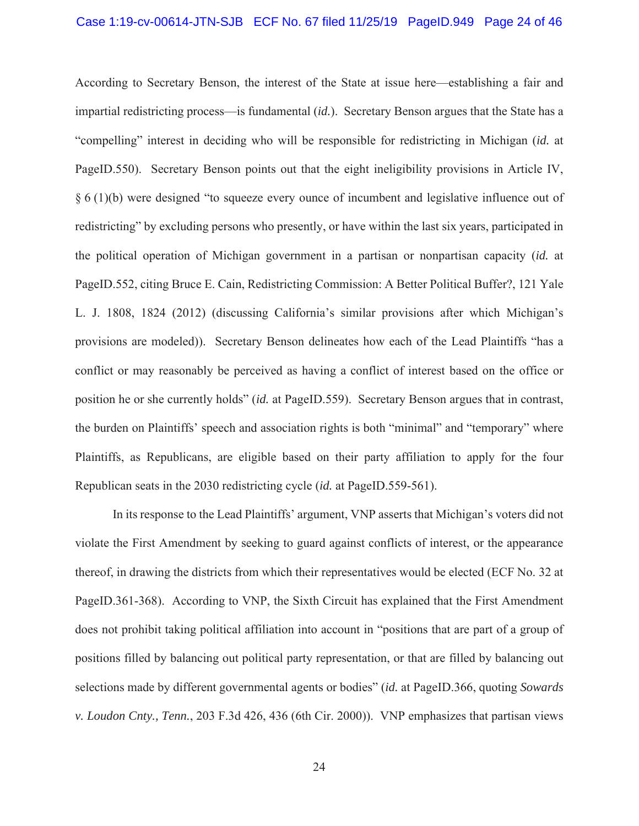According to Secretary Benson, the interest of the State at issue here—establishing a fair and impartial redistricting process—is fundamental (*id.*). Secretary Benson argues that the State has a "compelling" interest in deciding who will be responsible for redistricting in Michigan (*id.* at PageID.550). Secretary Benson points out that the eight ineligibility provisions in Article IV, § 6 (1)(b) were designed "to squeeze every ounce of incumbent and legislative influence out of redistricting" by excluding persons who presently, or have within the last six years, participated in the political operation of Michigan government in a partisan or nonpartisan capacity (*id.* at PageID.552, citing Bruce E. Cain, Redistricting Commission: A Better Political Buffer?, 121 Yale L. J. 1808, 1824 (2012) (discussing California's similar provisions after which Michigan's provisions are modeled)). Secretary Benson delineates how each of the Lead Plaintiffs "has a conflict or may reasonably be perceived as having a conflict of interest based on the office or position he or she currently holds" (*id.* at PageID.559). Secretary Benson argues that in contrast, the burden on Plaintiffs' speech and association rights is both "minimal" and "temporary" where Plaintiffs, as Republicans, are eligible based on their party affiliation to apply for the four Republican seats in the 2030 redistricting cycle (*id.* at PageID.559-561).

In its response to the Lead Plaintiffs' argument, VNP asserts that Michigan's voters did not violate the First Amendment by seeking to guard against conflicts of interest, or the appearance thereof, in drawing the districts from which their representatives would be elected (ECF No. 32 at PageID.361-368). According to VNP, the Sixth Circuit has explained that the First Amendment does not prohibit taking political affiliation into account in "positions that are part of a group of positions filled by balancing out political party representation, or that are filled by balancing out selections made by different governmental agents or bodies" (*id.* at PageID.366, quoting *Sowards v. Loudon Cnty., Tenn.*, 203 F.3d 426, 436 (6th Cir. 2000)). VNP emphasizes that partisan views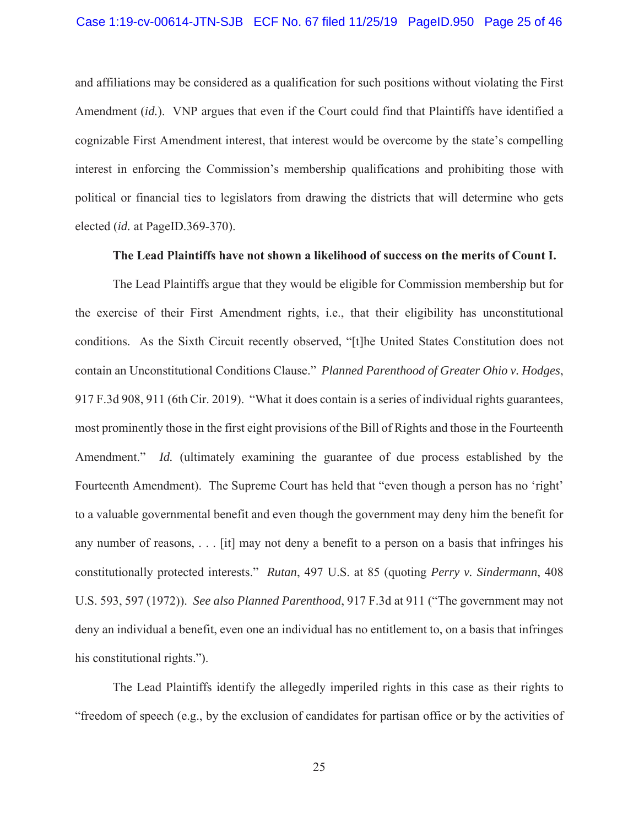and affiliations may be considered as a qualification for such positions without violating the First Amendment (*id.*). VNP argues that even if the Court could find that Plaintiffs have identified a cognizable First Amendment interest, that interest would be overcome by the state's compelling interest in enforcing the Commission's membership qualifications and prohibiting those with political or financial ties to legislators from drawing the districts that will determine who gets elected (*id.* at PageID.369-370).

#### **The Lead Plaintiffs have not shown a likelihood of success on the merits of Count I.**

The Lead Plaintiffs argue that they would be eligible for Commission membership but for the exercise of their First Amendment rights, i.e., that their eligibility has unconstitutional conditions. As the Sixth Circuit recently observed, "[t]he United States Constitution does not contain an Unconstitutional Conditions Clause." *Planned Parenthood of Greater Ohio v. Hodges*, 917 F.3d 908, 911 (6th Cir. 2019). "What it does contain is a series of individual rights guarantees, most prominently those in the first eight provisions of the Bill of Rights and those in the Fourteenth Amendment." *Id.* (ultimately examining the guarantee of due process established by the Fourteenth Amendment). The Supreme Court has held that "even though a person has no 'right' to a valuable governmental benefit and even though the government may deny him the benefit for any number of reasons, . . . [it] may not deny a benefit to a person on a basis that infringes his constitutionally protected interests." *Rutan*, 497 U.S. at 85 (quoting *Perry v. Sindermann*, 408 U.S. 593, 597 (1972)). *See also Planned Parenthood*, 917 F.3d at 911 ("The government may not deny an individual a benefit, even one an individual has no entitlement to, on a basis that infringes his constitutional rights.").

The Lead Plaintiffs identify the allegedly imperiled rights in this case as their rights to "freedom of speech (e.g., by the exclusion of candidates for partisan office or by the activities of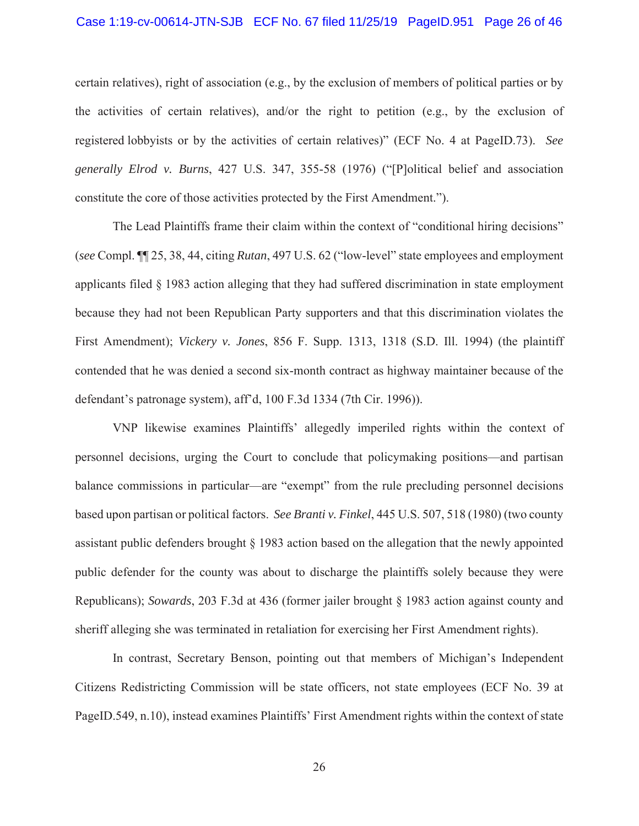#### Case 1:19-cv-00614-JTN-SJB ECF No. 67 filed 11/25/19 PageID.951 Page 26 of 46

certain relatives), right of association (e.g., by the exclusion of members of political parties or by the activities of certain relatives), and/or the right to petition (e.g., by the exclusion of registered lobbyists or by the activities of certain relatives)" (ECF No. 4 at PageID.73). *See generally Elrod v. Burns*, 427 U.S. 347, 355-58 (1976) ("[P]olitical belief and association constitute the core of those activities protected by the First Amendment.").

The Lead Plaintiffs frame their claim within the context of "conditional hiring decisions" (*see* Compl. ¶¶ 25, 38, 44, citing *Rutan*, 497 U.S. 62 ("low-level" state employees and employment applicants filed § 1983 action alleging that they had suffered discrimination in state employment because they had not been Republican Party supporters and that this discrimination violates the First Amendment); *Vickery v. Jones*, 856 F. Supp. 1313, 1318 (S.D. Ill. 1994) (the plaintiff contended that he was denied a second six-month contract as highway maintainer because of the defendant's patronage system), aff'd, 100 F.3d 1334 (7th Cir. 1996)).

VNP likewise examines Plaintiffs' allegedly imperiled rights within the context of personnel decisions, urging the Court to conclude that policymaking positions—and partisan balance commissions in particular—are "exempt" from the rule precluding personnel decisions based upon partisan or political factors. *See Branti v. Finkel*, 445 U.S. 507, 518 (1980) (two county assistant public defenders brought § 1983 action based on the allegation that the newly appointed public defender for the county was about to discharge the plaintiffs solely because they were Republicans); *Sowards*, 203 F.3d at 436 (former jailer brought § 1983 action against county and sheriff alleging she was terminated in retaliation for exercising her First Amendment rights).

In contrast, Secretary Benson, pointing out that members of Michigan's Independent Citizens Redistricting Commission will be state officers, not state employees (ECF No. 39 at PageID.549, n.10), instead examines Plaintiffs' First Amendment rights within the context of state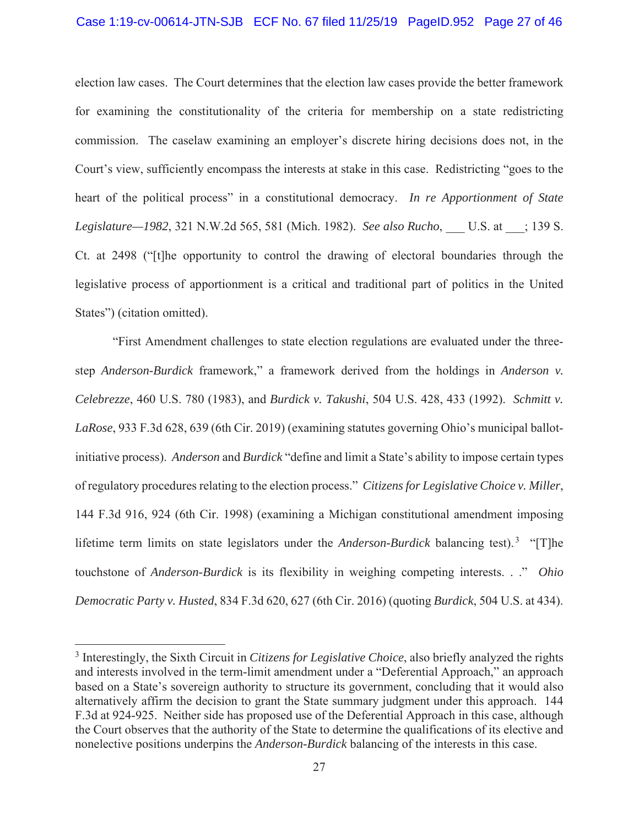#### Case 1:19-cv-00614-JTN-SJB ECF No. 67 filed 11/25/19 PageID.952 Page 27 of 46

election law cases. The Court determines that the election law cases provide the better framework for examining the constitutionality of the criteria for membership on a state redistricting commission. The caselaw examining an employer's discrete hiring decisions does not, in the Court's view, sufficiently encompass the interests at stake in this case. Redistricting "goes to the heart of the political process" in a constitutional democracy. *In re Apportionment of State Legislature—1982*, 321 N.W.2d 565, 581 (Mich. 1982). *See also Rucho*, \_\_\_ U.S. at \_\_\_; 139 S. Ct. at 2498 ("[t]he opportunity to control the drawing of electoral boundaries through the legislative process of apportionment is a critical and traditional part of politics in the United States") (citation omitted).

"First Amendment challenges to state election regulations are evaluated under the threestep *Anderson-Burdick* framework," a framework derived from the holdings in *Anderson v. Celebrezze*, 460 U.S. 780 (1983), and *Burdick v. Takushi*, 504 U.S. 428, 433 (1992). *Schmitt v. LaRose*, 933 F.3d 628, 639 (6th Cir. 2019) (examining statutes governing Ohio's municipal ballotinitiative process). *Anderson* and *Burdick* "define and limit a State's ability to impose certain types of regulatory procedures relating to the election process." *Citizens for Legislative Choice v. Miller*, 144 F.3d 916, 924 (6th Cir. 1998) (examining a Michigan constitutional amendment imposing lifetime term limits on state legislators under the *Anderson-Burdick* balancing test).<sup>3</sup> "[T]he touchstone of *Anderson-Burdick* is its flexibility in weighing competing interests. . ." *Ohio Democratic Party v. Husted*, 834 F.3d 620, 627 (6th Cir. 2016) (quoting *Burdick*, 504 U.S. at 434).

<sup>3</sup> Interestingly, the Sixth Circuit in *Citizens for Legislative Choice*, also briefly analyzed the rights and interests involved in the term-limit amendment under a "Deferential Approach," an approach based on a State's sovereign authority to structure its government, concluding that it would also alternatively affirm the decision to grant the State summary judgment under this approach. 144 F.3d at 924-925. Neither side has proposed use of the Deferential Approach in this case, although the Court observes that the authority of the State to determine the qualifications of its elective and nonelective positions underpins the *Anderson-Burdick* balancing of the interests in this case.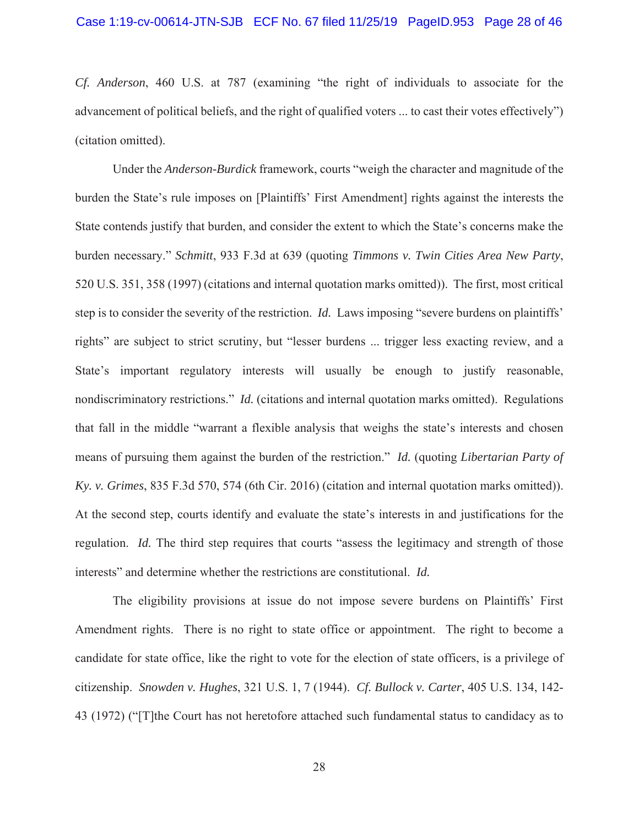*Cf. Anderson*, 460 U.S. at 787 (examining "the right of individuals to associate for the advancement of political beliefs, and the right of qualified voters ... to cast their votes effectively") (citation omitted).

Under the *Anderson-Burdick* framework, courts "weigh the character and magnitude of the burden the State's rule imposes on [Plaintiffs' First Amendment] rights against the interests the State contends justify that burden, and consider the extent to which the State's concerns make the burden necessary." *Schmitt*, 933 F.3d at 639 (quoting *Timmons v. Twin Cities Area New Party*, 520 U.S. 351, 358 (1997) (citations and internal quotation marks omitted)). The first, most critical step is to consider the severity of the restriction. *Id.* Laws imposing "severe burdens on plaintiffs' rights" are subject to strict scrutiny, but "lesser burdens ... trigger less exacting review, and a State's important regulatory interests will usually be enough to justify reasonable, nondiscriminatory restrictions." *Id.* (citations and internal quotation marks omitted). Regulations that fall in the middle "warrant a flexible analysis that weighs the state's interests and chosen means of pursuing them against the burden of the restriction." *Id.* (quoting *Libertarian Party of Ky. v. Grimes*, 835 F.3d 570, 574 (6th Cir. 2016) (citation and internal quotation marks omitted)). At the second step, courts identify and evaluate the state's interests in and justifications for the regulation. *Id.* The third step requires that courts "assess the legitimacy and strength of those interests" and determine whether the restrictions are constitutional. *Id.*

The eligibility provisions at issue do not impose severe burdens on Plaintiffs' First Amendment rights. There is no right to state office or appointment. The right to become a candidate for state office, like the right to vote for the election of state officers, is a privilege of citizenship. *Snowden v. Hughes*, 321 U.S. 1, 7 (1944). *Cf. Bullock v. Carter*, 405 U.S. 134, 142- 43 (1972) ("[T]the Court has not heretofore attached such fundamental status to candidacy as to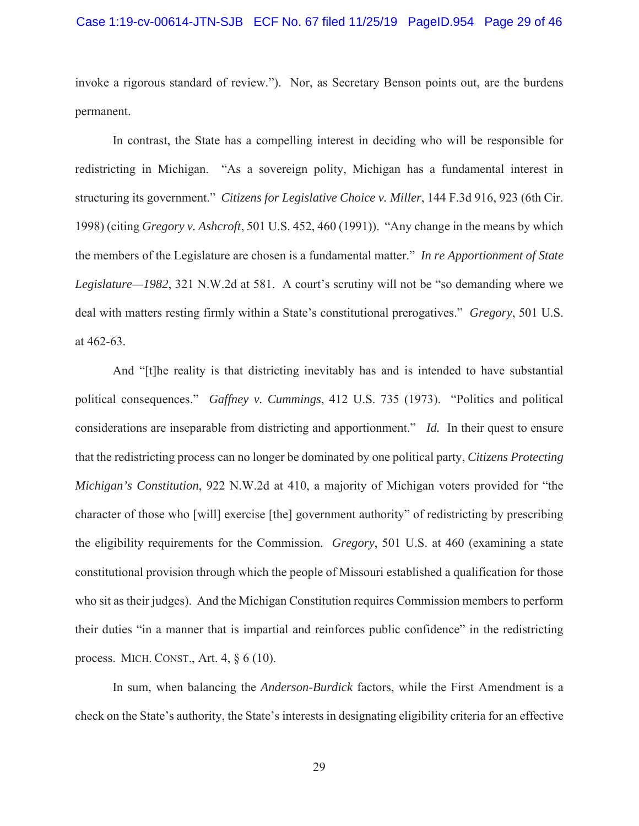#### Case 1:19-cv-00614-JTN-SJB ECF No. 67 filed 11/25/19 PageID.954 Page 29 of 46

invoke a rigorous standard of review."). Nor, as Secretary Benson points out, are the burdens permanent.

In contrast, the State has a compelling interest in deciding who will be responsible for redistricting in Michigan. "As a sovereign polity, Michigan has a fundamental interest in structuring its government." *Citizens for Legislative Choice v. Miller*, 144 F.3d 916, 923 (6th Cir. 1998) (citing *Gregory v. Ashcroft*, 501 U.S. 452, 460 (1991)). "Any change in the means by which the members of the Legislature are chosen is a fundamental matter." *In re Apportionment of State Legislature—1982*, 321 N.W.2d at 581. A court's scrutiny will not be "so demanding where we deal with matters resting firmly within a State's constitutional prerogatives." *Gregory*, 501 U.S. at 462-63.

And "[t]he reality is that districting inevitably has and is intended to have substantial political consequences." *Gaffney v. Cummings*, 412 U.S. 735 (1973). "Politics and political considerations are inseparable from districting and apportionment." *Id.* In their quest to ensure that the redistricting process can no longer be dominated by one political party, *Citizens Protecting Michigan's Constitution*, 922 N.W.2d at 410, a majority of Michigan voters provided for "the character of those who [will] exercise [the] government authority" of redistricting by prescribing the eligibility requirements for the Commission. *Gregory*, 501 U.S. at 460 (examining a state constitutional provision through which the people of Missouri established a qualification for those who sit as their judges). And the Michigan Constitution requires Commission members to perform their duties "in a manner that is impartial and reinforces public confidence" in the redistricting process. MICH. CONST., Art. 4, § 6 (10).

In sum, when balancing the *Anderson-Burdick* factors, while the First Amendment is a check on the State's authority, the State's interests in designating eligibility criteria for an effective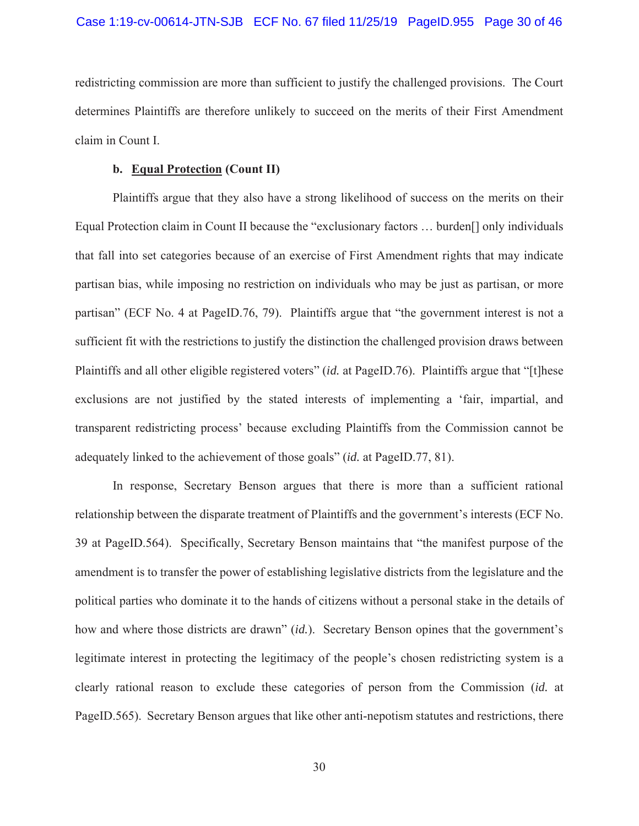redistricting commission are more than sufficient to justify the challenged provisions. The Court determines Plaintiffs are therefore unlikely to succeed on the merits of their First Amendment claim in Count I.

## **b. Equal Protection (Count II)**

Plaintiffs argue that they also have a strong likelihood of success on the merits on their Equal Protection claim in Count II because the "exclusionary factors … burden[] only individuals that fall into set categories because of an exercise of First Amendment rights that may indicate partisan bias, while imposing no restriction on individuals who may be just as partisan, or more partisan" (ECF No. 4 at PageID.76, 79). Plaintiffs argue that "the government interest is not a sufficient fit with the restrictions to justify the distinction the challenged provision draws between Plaintiffs and all other eligible registered voters" (*id.* at PageID.76). Plaintiffs argue that "[t]hese exclusions are not justified by the stated interests of implementing a 'fair, impartial, and transparent redistricting process' because excluding Plaintiffs from the Commission cannot be adequately linked to the achievement of those goals" (*id.* at PageID.77, 81).

In response, Secretary Benson argues that there is more than a sufficient rational relationship between the disparate treatment of Plaintiffs and the government's interests (ECF No. 39 at PageID.564). Specifically, Secretary Benson maintains that "the manifest purpose of the amendment is to transfer the power of establishing legislative districts from the legislature and the political parties who dominate it to the hands of citizens without a personal stake in the details of how and where those districts are drawn" (*id.*). Secretary Benson opines that the government's legitimate interest in protecting the legitimacy of the people's chosen redistricting system is a clearly rational reason to exclude these categories of person from the Commission (*id.* at PageID.565). Secretary Benson argues that like other anti-nepotism statutes and restrictions, there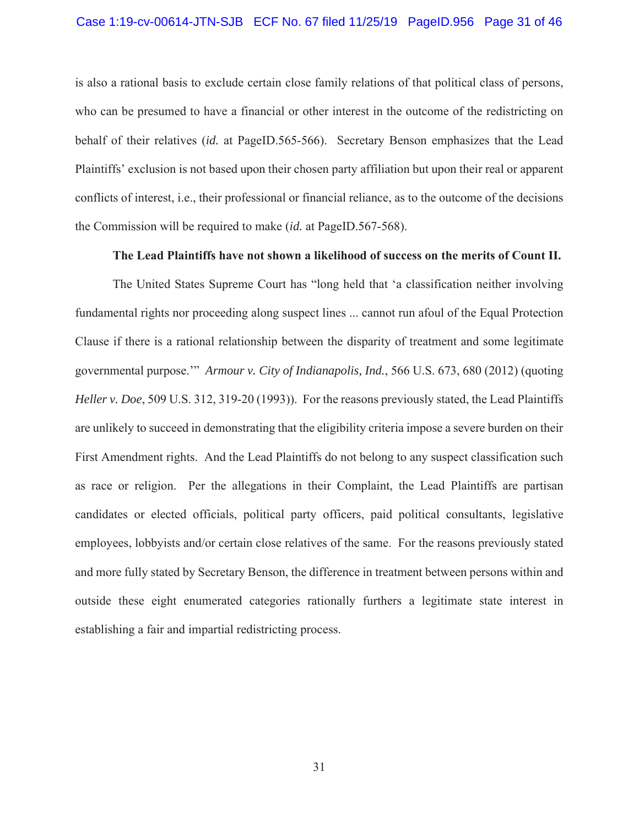#### Case 1:19-cv-00614-JTN-SJB ECF No. 67 filed 11/25/19 PageID.956 Page 31 of 46

is also a rational basis to exclude certain close family relations of that political class of persons, who can be presumed to have a financial or other interest in the outcome of the redistricting on behalf of their relatives (*id.* at PageID.565-566). Secretary Benson emphasizes that the Lead Plaintiffs' exclusion is not based upon their chosen party affiliation but upon their real or apparent conflicts of interest, i.e., their professional or financial reliance, as to the outcome of the decisions the Commission will be required to make (*id.* at PageID.567-568).

#### **The Lead Plaintiffs have not shown a likelihood of success on the merits of Count II.**

The United States Supreme Court has "long held that 'a classification neither involving fundamental rights nor proceeding along suspect lines ... cannot run afoul of the Equal Protection Clause if there is a rational relationship between the disparity of treatment and some legitimate governmental purpose.'" *Armour v. City of Indianapolis, Ind.*, 566 U.S. 673, 680 (2012) (quoting *Heller v. Doe*, 509 U.S. 312, 319-20 (1993)). For the reasons previously stated, the Lead Plaintiffs are unlikely to succeed in demonstrating that the eligibility criteria impose a severe burden on their First Amendment rights. And the Lead Plaintiffs do not belong to any suspect classification such as race or religion. Per the allegations in their Complaint, the Lead Plaintiffs are partisan candidates or elected officials, political party officers, paid political consultants, legislative employees, lobbyists and/or certain close relatives of the same. For the reasons previously stated and more fully stated by Secretary Benson, the difference in treatment between persons within and outside these eight enumerated categories rationally furthers a legitimate state interest in establishing a fair and impartial redistricting process.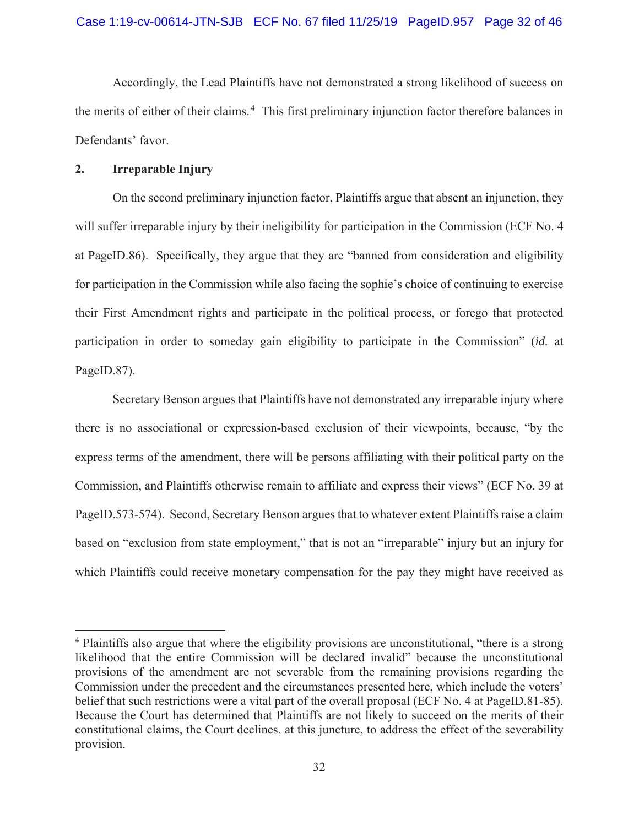Accordingly, the Lead Plaintiffs have not demonstrated a strong likelihood of success on the merits of either of their claims.<sup>4</sup> This first preliminary injunction factor therefore balances in Defendants' favor.

# **2. Irreparable Injury**

On the second preliminary injunction factor, Plaintiffs argue that absent an injunction, they will suffer irreparable injury by their ineligibility for participation in the Commission (ECF No. 4) at PageID.86). Specifically, they argue that they are "banned from consideration and eligibility for participation in the Commission while also facing the sophie's choice of continuing to exercise their First Amendment rights and participate in the political process, or forego that protected participation in order to someday gain eligibility to participate in the Commission" (*id.* at PageID.87).

Secretary Benson argues that Plaintiffs have not demonstrated any irreparable injury where there is no associational or expression-based exclusion of their viewpoints, because, "by the express terms of the amendment, there will be persons affiliating with their political party on the Commission, and Plaintiffs otherwise remain to affiliate and express their views" (ECF No. 39 at PageID.573-574). Second, Secretary Benson argues that to whatever extent Plaintiffs raise a claim based on "exclusion from state employment," that is not an "irreparable" injury but an injury for which Plaintiffs could receive monetary compensation for the pay they might have received as

<sup>&</sup>lt;sup>4</sup> Plaintiffs also argue that where the eligibility provisions are unconstitutional, "there is a strong" likelihood that the entire Commission will be declared invalid" because the unconstitutional provisions of the amendment are not severable from the remaining provisions regarding the Commission under the precedent and the circumstances presented here, which include the voters' belief that such restrictions were a vital part of the overall proposal (ECF No. 4 at PageID.81-85). Because the Court has determined that Plaintiffs are not likely to succeed on the merits of their constitutional claims, the Court declines, at this juncture, to address the effect of the severability provision.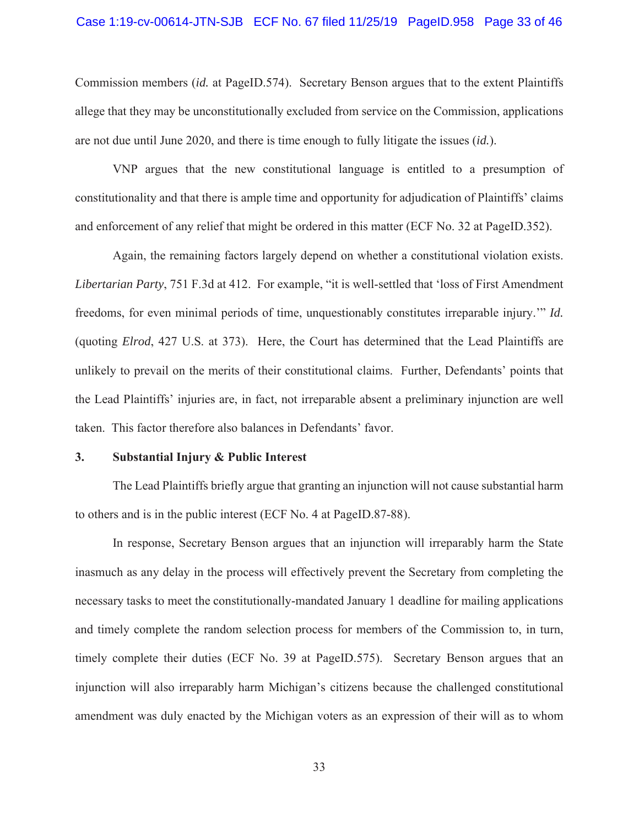#### Case 1:19-cv-00614-JTN-SJB ECF No. 67 filed 11/25/19 PageID.958 Page 33 of 46

Commission members (*id.* at PageID.574). Secretary Benson argues that to the extent Plaintiffs allege that they may be unconstitutionally excluded from service on the Commission, applications are not due until June 2020, and there is time enough to fully litigate the issues (*id.*).

VNP argues that the new constitutional language is entitled to a presumption of constitutionality and that there is ample time and opportunity for adjudication of Plaintiffs' claims and enforcement of any relief that might be ordered in this matter (ECF No. 32 at PageID.352).

Again, the remaining factors largely depend on whether a constitutional violation exists. *Libertarian Party*, 751 F.3d at 412. For example, "it is well-settled that 'loss of First Amendment freedoms, for even minimal periods of time, unquestionably constitutes irreparable injury.'" *Id.*  (quoting *Elrod*, 427 U.S. at 373). Here, the Court has determined that the Lead Plaintiffs are unlikely to prevail on the merits of their constitutional claims. Further, Defendants' points that the Lead Plaintiffs' injuries are, in fact, not irreparable absent a preliminary injunction are well taken. This factor therefore also balances in Defendants' favor.

#### **3. Substantial Injury & Public Interest**

The Lead Plaintiffs briefly argue that granting an injunction will not cause substantial harm to others and is in the public interest (ECF No. 4 at PageID.87-88).

In response, Secretary Benson argues that an injunction will irreparably harm the State inasmuch as any delay in the process will effectively prevent the Secretary from completing the necessary tasks to meet the constitutionally-mandated January 1 deadline for mailing applications and timely complete the random selection process for members of the Commission to, in turn, timely complete their duties (ECF No. 39 at PageID.575). Secretary Benson argues that an injunction will also irreparably harm Michigan's citizens because the challenged constitutional amendment was duly enacted by the Michigan voters as an expression of their will as to whom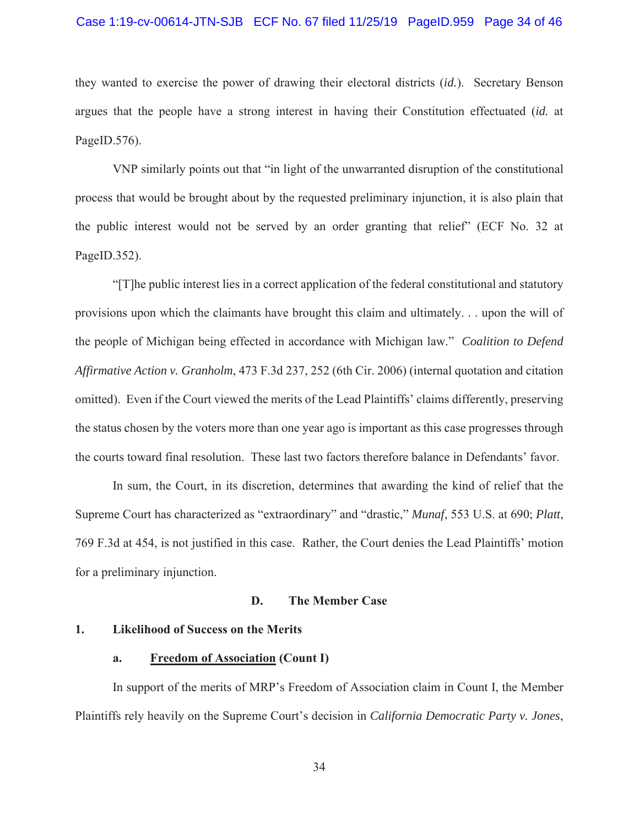# Case 1:19-cv-00614-JTN-SJB ECF No. 67 filed 11/25/19 PageID.959 Page 34 of 46

they wanted to exercise the power of drawing their electoral districts (*id.*). Secretary Benson argues that the people have a strong interest in having their Constitution effectuated (*id.* at PageID.576).

VNP similarly points out that "in light of the unwarranted disruption of the constitutional process that would be brought about by the requested preliminary injunction, it is also plain that the public interest would not be served by an order granting that relief" (ECF No. 32 at PageID.352).

"[T]he public interest lies in a correct application of the federal constitutional and statutory provisions upon which the claimants have brought this claim and ultimately. . . upon the will of the people of Michigan being effected in accordance with Michigan law." *Coalition to Defend Affirmative Action v. Granholm*, 473 F.3d 237, 252 (6th Cir. 2006) (internal quotation and citation omitted). Even if the Court viewed the merits of the Lead Plaintiffs' claims differently, preserving the status chosen by the voters more than one year ago is important as this case progresses through the courts toward final resolution. These last two factors therefore balance in Defendants' favor.

In sum, the Court, in its discretion, determines that awarding the kind of relief that the Supreme Court has characterized as "extraordinary" and "drastic," *Munaf*, 553 U.S. at 690; *Platt*, 769 F.3d at 454, is not justified in this case. Rather, the Court denies the Lead Plaintiffs' motion for a preliminary injunction.

#### **D. The Member Case**

## **1. Likelihood of Success on the Merits**

#### **a. Freedom of Association (Count I)**

In support of the merits of MRP's Freedom of Association claim in Count I, the Member Plaintiffs rely heavily on the Supreme Court's decision in *California Democratic Party v. Jones*,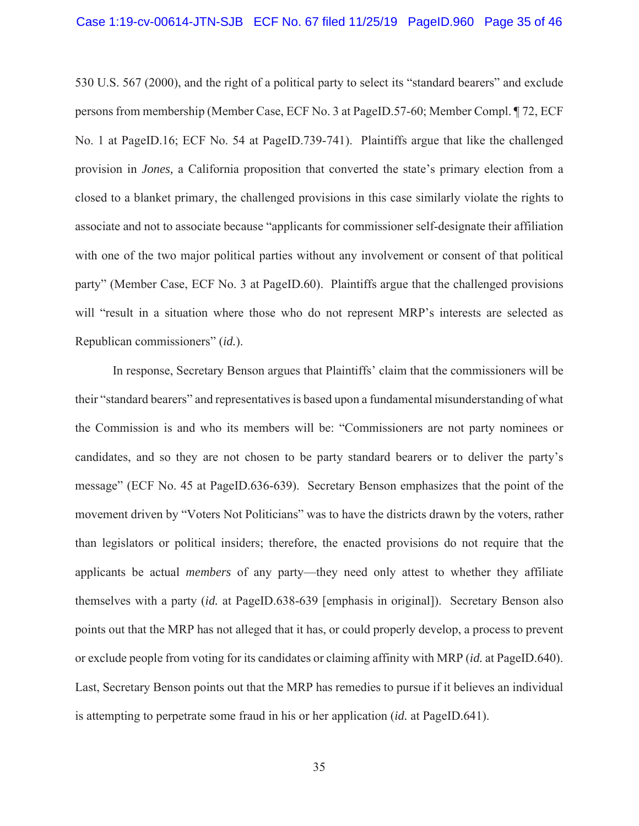#### Case 1:19-cv-00614-JTN-SJB ECF No. 67 filed 11/25/19 PageID.960 Page 35 of 46

530 U.S. 567 (2000), and the right of a political party to select its "standard bearers" and exclude persons from membership (Member Case, ECF No. 3 at PageID.57-60; Member Compl. ¶ 72, ECF No. 1 at PageID.16; ECF No. 54 at PageID.739-741). Plaintiffs argue that like the challenged provision in *Jones,* a California proposition that converted the state's primary election from a closed to a blanket primary, the challenged provisions in this case similarly violate the rights to associate and not to associate because "applicants for commissioner self-designate their affiliation with one of the two major political parties without any involvement or consent of that political party" (Member Case, ECF No. 3 at PageID.60). Plaintiffs argue that the challenged provisions will "result in a situation where those who do not represent MRP's interests are selected as Republican commissioners" (*id.*).

In response, Secretary Benson argues that Plaintiffs' claim that the commissioners will be their "standard bearers" and representatives is based upon a fundamental misunderstanding of what the Commission is and who its members will be: "Commissioners are not party nominees or candidates, and so they are not chosen to be party standard bearers or to deliver the party's message" (ECF No. 45 at PageID.636-639). Secretary Benson emphasizes that the point of the movement driven by "Voters Not Politicians" was to have the districts drawn by the voters, rather than legislators or political insiders; therefore, the enacted provisions do not require that the applicants be actual *members* of any party—they need only attest to whether they affiliate themselves with a party (*id.* at PageID.638-639 [emphasis in original]). Secretary Benson also points out that the MRP has not alleged that it has, or could properly develop, a process to prevent or exclude people from voting for its candidates or claiming affinity with MRP (*id.* at PageID.640). Last, Secretary Benson points out that the MRP has remedies to pursue if it believes an individual is attempting to perpetrate some fraud in his or her application (*id.* at PageID.641).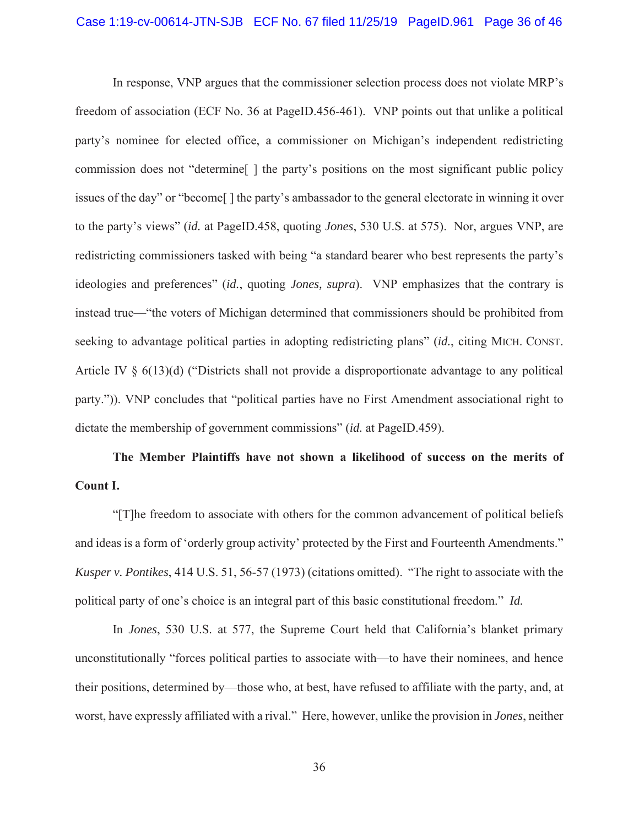#### Case 1:19-cv-00614-JTN-SJB ECF No. 67 filed 11/25/19 PageID.961 Page 36 of 46

In response, VNP argues that the commissioner selection process does not violate MRP's freedom of association (ECF No. 36 at PageID.456-461). VNP points out that unlike a political party's nominee for elected office, a commissioner on Michigan's independent redistricting commission does not "determine[ ] the party's positions on the most significant public policy issues of the day" or "become[ ] the party's ambassador to the general electorate in winning it over to the party's views" (*id.* at PageID.458, quoting *Jones*, 530 U.S. at 575). Nor, argues VNP, are redistricting commissioners tasked with being "a standard bearer who best represents the party's ideologies and preferences" (*id.*, quoting *Jones, supra*). VNP emphasizes that the contrary is instead true—"the voters of Michigan determined that commissioners should be prohibited from seeking to advantage political parties in adopting redistricting plans" (*id.*, citing MICH. CONST. Article IV § 6(13)(d) ("Districts shall not provide a disproportionate advantage to any political party.")). VNP concludes that "political parties have no First Amendment associational right to dictate the membership of government commissions" (*id.* at PageID.459).

# **The Member Plaintiffs have not shown a likelihood of success on the merits of Count I.**

"[T]he freedom to associate with others for the common advancement of political beliefs and ideas is a form of 'orderly group activity' protected by the First and Fourteenth Amendments." *Kusper v. Pontikes*, 414 U.S. 51, 56-57 (1973) (citations omitted). "The right to associate with the political party of one's choice is an integral part of this basic constitutional freedom." *Id.*

In *Jones*, 530 U.S. at 577, the Supreme Court held that California's blanket primary unconstitutionally "forces political parties to associate with—to have their nominees, and hence their positions, determined by—those who, at best, have refused to affiliate with the party, and, at worst, have expressly affiliated with a rival." Here, however, unlike the provision in *Jones*, neither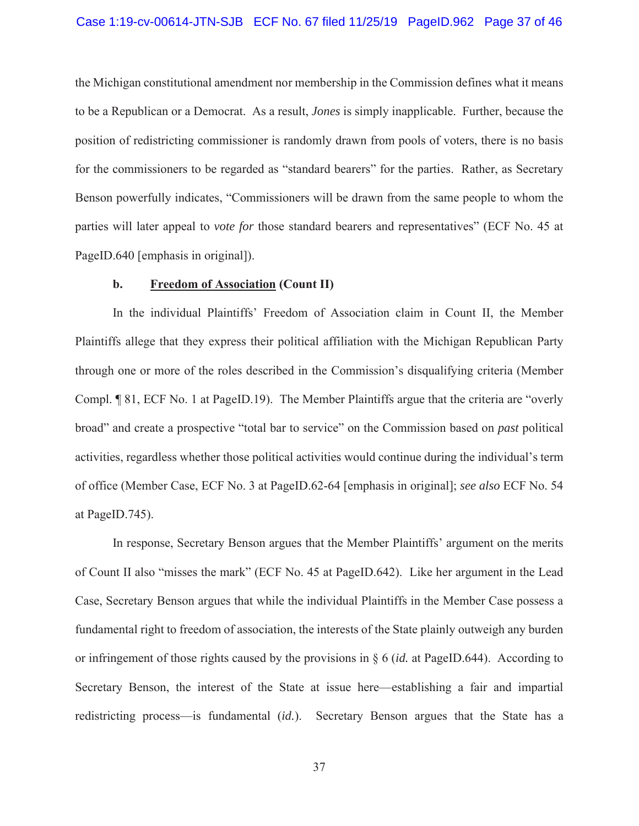#### Case 1:19-cv-00614-JTN-SJB ECF No. 67 filed 11/25/19 PageID.962 Page 37 of 46

the Michigan constitutional amendment nor membership in the Commission defines what it means to be a Republican or a Democrat. As a result, *Jones* is simply inapplicable. Further, because the position of redistricting commissioner is randomly drawn from pools of voters, there is no basis for the commissioners to be regarded as "standard bearers" for the parties. Rather, as Secretary Benson powerfully indicates, "Commissioners will be drawn from the same people to whom the parties will later appeal to *vote for* those standard bearers and representatives" (ECF No. 45 at PageID.640 [emphasis in original]).

#### **b. Freedom of Association (Count II)**

In the individual Plaintiffs' Freedom of Association claim in Count II, the Member Plaintiffs allege that they express their political affiliation with the Michigan Republican Party through one or more of the roles described in the Commission's disqualifying criteria (Member Compl. ¶ 81, ECF No. 1 at PageID.19). The Member Plaintiffs argue that the criteria are "overly broad" and create a prospective "total bar to service" on the Commission based on *past* political activities, regardless whether those political activities would continue during the individual's term of office (Member Case, ECF No. 3 at PageID.62-64 [emphasis in original]; *see also* ECF No. 54 at PageID.745).

In response, Secretary Benson argues that the Member Plaintiffs' argument on the merits of Count II also "misses the mark" (ECF No. 45 at PageID.642). Like her argument in the Lead Case, Secretary Benson argues that while the individual Plaintiffs in the Member Case possess a fundamental right to freedom of association, the interests of the State plainly outweigh any burden or infringement of those rights caused by the provisions in § 6 (*id.* at PageID.644). According to Secretary Benson, the interest of the State at issue here—establishing a fair and impartial redistricting process—is fundamental (*id.*). Secretary Benson argues that the State has a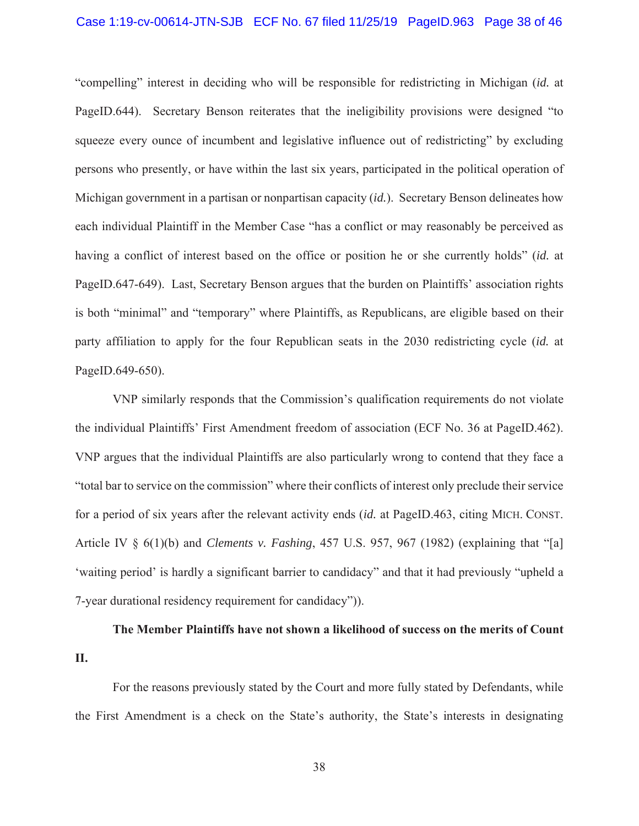#### Case 1:19-cv-00614-JTN-SJB ECF No. 67 filed 11/25/19 PageID.963 Page 38 of 46

"compelling" interest in deciding who will be responsible for redistricting in Michigan (*id.* at PageID.644). Secretary Benson reiterates that the ineligibility provisions were designed "to squeeze every ounce of incumbent and legislative influence out of redistricting" by excluding persons who presently, or have within the last six years, participated in the political operation of Michigan government in a partisan or nonpartisan capacity (*id.*). Secretary Benson delineates how each individual Plaintiff in the Member Case "has a conflict or may reasonably be perceived as having a conflict of interest based on the office or position he or she currently holds" (*id.* at PageID.647-649). Last, Secretary Benson argues that the burden on Plaintiffs' association rights is both "minimal" and "temporary" where Plaintiffs, as Republicans, are eligible based on their party affiliation to apply for the four Republican seats in the 2030 redistricting cycle (*id.* at PageID.649-650).

VNP similarly responds that the Commission's qualification requirements do not violate the individual Plaintiffs' First Amendment freedom of association (ECF No. 36 at PageID.462). VNP argues that the individual Plaintiffs are also particularly wrong to contend that they face a "total bar to service on the commission" where their conflicts of interest only preclude their service for a period of six years after the relevant activity ends (*id.* at PageID.463, citing MICH. CONST. Article IV § 6(1)(b) and *Clements v. Fashing*, 457 U.S. 957, 967 (1982) (explaining that "[a] 'waiting period' is hardly a significant barrier to candidacy" and that it had previously "upheld a 7-year durational residency requirement for candidacy")).

**The Member Plaintiffs have not shown a likelihood of success on the merits of Count II.**

For the reasons previously stated by the Court and more fully stated by Defendants, while the First Amendment is a check on the State's authority, the State's interests in designating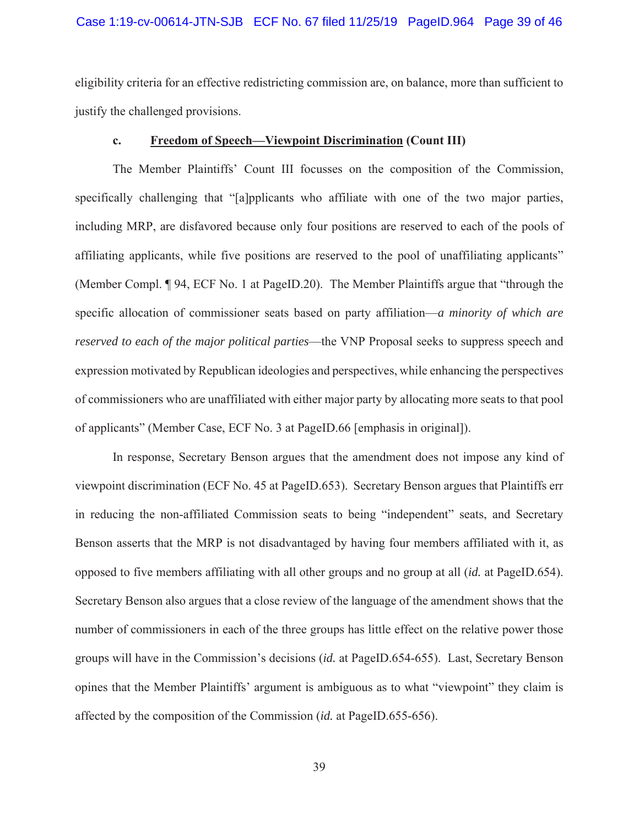#### Case 1:19-cv-00614-JTN-SJB ECF No. 67 filed 11/25/19 PageID.964 Page 39 of 46

eligibility criteria for an effective redistricting commission are, on balance, more than sufficient to justify the challenged provisions.

#### **c. Freedom of Speech—Viewpoint Discrimination (Count III)**

The Member Plaintiffs' Count III focusses on the composition of the Commission, specifically challenging that "[a]pplicants who affiliate with one of the two major parties, including MRP, are disfavored because only four positions are reserved to each of the pools of affiliating applicants, while five positions are reserved to the pool of unaffiliating applicants" (Member Compl. ¶ 94, ECF No. 1 at PageID.20). The Member Plaintiffs argue that "through the specific allocation of commissioner seats based on party affiliation—*a minority of which are reserved to each of the major political parties*—the VNP Proposal seeks to suppress speech and expression motivated by Republican ideologies and perspectives, while enhancing the perspectives of commissioners who are unaffiliated with either major party by allocating more seats to that pool of applicants" (Member Case, ECF No. 3 at PageID.66 [emphasis in original]).

In response, Secretary Benson argues that the amendment does not impose any kind of viewpoint discrimination (ECF No. 45 at PageID.653). Secretary Benson argues that Plaintiffs err in reducing the non-affiliated Commission seats to being "independent" seats, and Secretary Benson asserts that the MRP is not disadvantaged by having four members affiliated with it, as opposed to five members affiliating with all other groups and no group at all (*id.* at PageID.654). Secretary Benson also argues that a close review of the language of the amendment shows that the number of commissioners in each of the three groups has little effect on the relative power those groups will have in the Commission's decisions (*id.* at PageID.654-655). Last, Secretary Benson opines that the Member Plaintiffs' argument is ambiguous as to what "viewpoint" they claim is affected by the composition of the Commission (*id.* at PageID.655-656).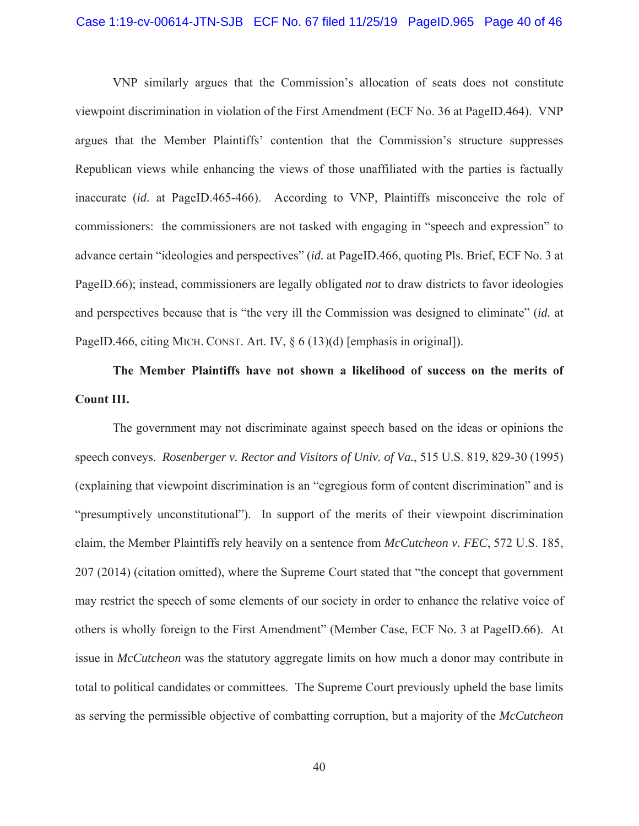#### Case 1:19-cv-00614-JTN-SJB ECF No. 67 filed 11/25/19 PageID.965 Page 40 of 46

VNP similarly argues that the Commission's allocation of seats does not constitute viewpoint discrimination in violation of the First Amendment (ECF No. 36 at PageID.464). VNP argues that the Member Plaintiffs' contention that the Commission's structure suppresses Republican views while enhancing the views of those unaffiliated with the parties is factually inaccurate (*id.* at PageID.465-466). According to VNP, Plaintiffs misconceive the role of commissioners: the commissioners are not tasked with engaging in "speech and expression" to advance certain "ideologies and perspectives" (*id.* at PageID.466, quoting Pls. Brief, ECF No. 3 at PageID.66); instead, commissioners are legally obligated *not* to draw districts to favor ideologies and perspectives because that is "the very ill the Commission was designed to eliminate" (*id.* at PageID.466, citing MICH. CONST. Art. IV, § 6 (13)(d) [emphasis in original]).

**The Member Plaintiffs have not shown a likelihood of success on the merits of Count III.**

The government may not discriminate against speech based on the ideas or opinions the speech conveys. *Rosenberger v. Rector and Visitors of Univ. of Va.*, 515 U.S. 819, 829-30 (1995) (explaining that viewpoint discrimination is an "egregious form of content discrimination" and is "presumptively unconstitutional"). In support of the merits of their viewpoint discrimination claim, the Member Plaintiffs rely heavily on a sentence from *McCutcheon v. FEC*, 572 U.S. 185, 207 (2014) (citation omitted), where the Supreme Court stated that "the concept that government may restrict the speech of some elements of our society in order to enhance the relative voice of others is wholly foreign to the First Amendment" (Member Case, ECF No. 3 at PageID.66). At issue in *McCutcheon* was the statutory aggregate limits on how much a donor may contribute in total to political candidates or committees. The Supreme Court previously upheld the base limits as serving the permissible objective of combatting corruption, but a majority of the *McCutcheon*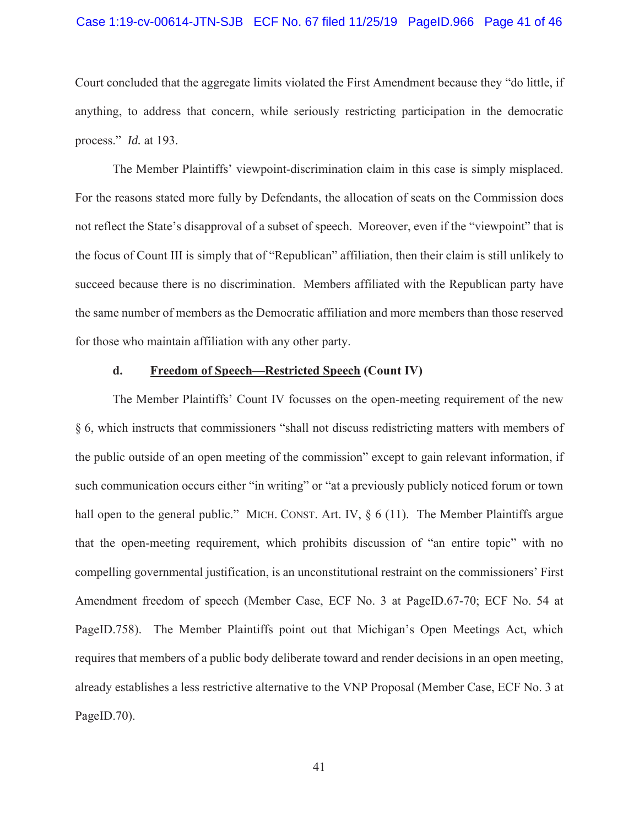#### Case 1:19-cv-00614-JTN-SJB ECF No. 67 filed 11/25/19 PageID.966 Page 41 of 46

Court concluded that the aggregate limits violated the First Amendment because they "do little, if anything, to address that concern, while seriously restricting participation in the democratic process." *Id.* at 193.

The Member Plaintiffs' viewpoint-discrimination claim in this case is simply misplaced. For the reasons stated more fully by Defendants, the allocation of seats on the Commission does not reflect the State's disapproval of a subset of speech. Moreover, even if the "viewpoint" that is the focus of Count III is simply that of "Republican" affiliation, then their claim is still unlikely to succeed because there is no discrimination. Members affiliated with the Republican party have the same number of members as the Democratic affiliation and more members than those reserved for those who maintain affiliation with any other party.

### **d. Freedom of Speech—Restricted Speech (Count IV)**

The Member Plaintiffs' Count IV focusses on the open-meeting requirement of the new § 6, which instructs that commissioners "shall not discuss redistricting matters with members of the public outside of an open meeting of the commission" except to gain relevant information, if such communication occurs either "in writing" or "at a previously publicly noticed forum or town hall open to the general public." MICH. CONST. Art. IV,  $\delta$  6 (11). The Member Plaintiffs argue that the open-meeting requirement, which prohibits discussion of "an entire topic" with no compelling governmental justification, is an unconstitutional restraint on the commissioners' First Amendment freedom of speech (Member Case, ECF No. 3 at PageID.67-70; ECF No. 54 at PageID.758). The Member Plaintiffs point out that Michigan's Open Meetings Act, which requires that members of a public body deliberate toward and render decisions in an open meeting, already establishes a less restrictive alternative to the VNP Proposal (Member Case, ECF No. 3 at PageID.70).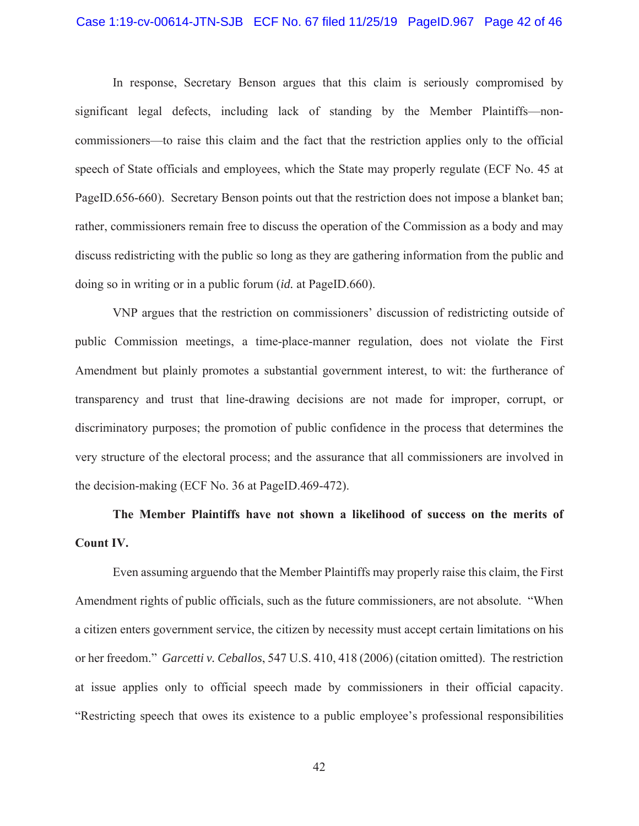#### Case 1:19-cv-00614-JTN-SJB ECF No. 67 filed 11/25/19 PageID.967 Page 42 of 46

In response, Secretary Benson argues that this claim is seriously compromised by significant legal defects, including lack of standing by the Member Plaintiffs—noncommissioners—to raise this claim and the fact that the restriction applies only to the official speech of State officials and employees, which the State may properly regulate (ECF No. 45 at PageID.656-660). Secretary Benson points out that the restriction does not impose a blanket ban; rather, commissioners remain free to discuss the operation of the Commission as a body and may discuss redistricting with the public so long as they are gathering information from the public and doing so in writing or in a public forum (*id.* at PageID.660).

VNP argues that the restriction on commissioners' discussion of redistricting outside of public Commission meetings, a time-place-manner regulation, does not violate the First Amendment but plainly promotes a substantial government interest, to wit: the furtherance of transparency and trust that line-drawing decisions are not made for improper, corrupt, or discriminatory purposes; the promotion of public confidence in the process that determines the very structure of the electoral process; and the assurance that all commissioners are involved in the decision-making (ECF No. 36 at PageID.469-472).

# **The Member Plaintiffs have not shown a likelihood of success on the merits of Count IV.**

Even assuming arguendo that the Member Plaintiffs may properly raise this claim, the First Amendment rights of public officials, such as the future commissioners, are not absolute. "When a citizen enters government service, the citizen by necessity must accept certain limitations on his or her freedom." *Garcetti v. Ceballos*, 547 U.S. 410, 418 (2006) (citation omitted). The restriction at issue applies only to official speech made by commissioners in their official capacity. "Restricting speech that owes its existence to a public employee's professional responsibilities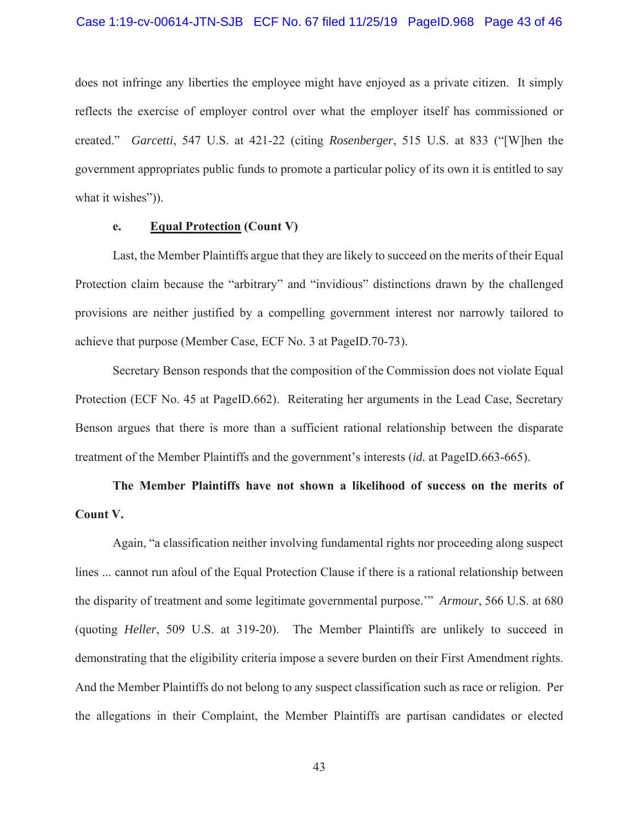#### Case 1:19-cv-00614-JTN-SJB ECF No. 67 filed 11/25/19 PageID.968 Page 43 of 46

does not infringe any liberties the employee might have enjoyed as a private citizen. It simply reflects the exercise of employer control over what the employer itself has commissioned or created." *Garcetti*, 547 U.S. at 421-22 (citing *Rosenberger*, 515 U.S. at 833 ("[W]hen the government appropriates public funds to promote a particular policy of its own it is entitled to say what it wishes")).

# **e. Equal Protection (Count V)**

Last, the Member Plaintiffs argue that they are likely to succeed on the merits of their Equal Protection claim because the "arbitrary" and "invidious" distinctions drawn by the challenged provisions are neither justified by a compelling government interest nor narrowly tailored to achieve that purpose (Member Case, ECF No. 3 at PageID.70-73).

Secretary Benson responds that the composition of the Commission does not violate Equal Protection (ECF No. 45 at PageID.662). Reiterating her arguments in the Lead Case, Secretary Benson argues that there is more than a sufficient rational relationship between the disparate treatment of the Member Plaintiffs and the government's interests (*id.* at PageID.663-665).

# **The Member Plaintiffs have not shown a likelihood of success on the merits of Count V.**

Again, "a classification neither involving fundamental rights nor proceeding along suspect lines ... cannot run afoul of the Equal Protection Clause if there is a rational relationship between the disparity of treatment and some legitimate governmental purpose.'" *Armour*, 566 U.S. at 680 (quoting *Heller*, 509 U.S. at 319-20). The Member Plaintiffs are unlikely to succeed in demonstrating that the eligibility criteria impose a severe burden on their First Amendment rights. And the Member Plaintiffs do not belong to any suspect classification such as race or religion. Per the allegations in their Complaint, the Member Plaintiffs are partisan candidates or elected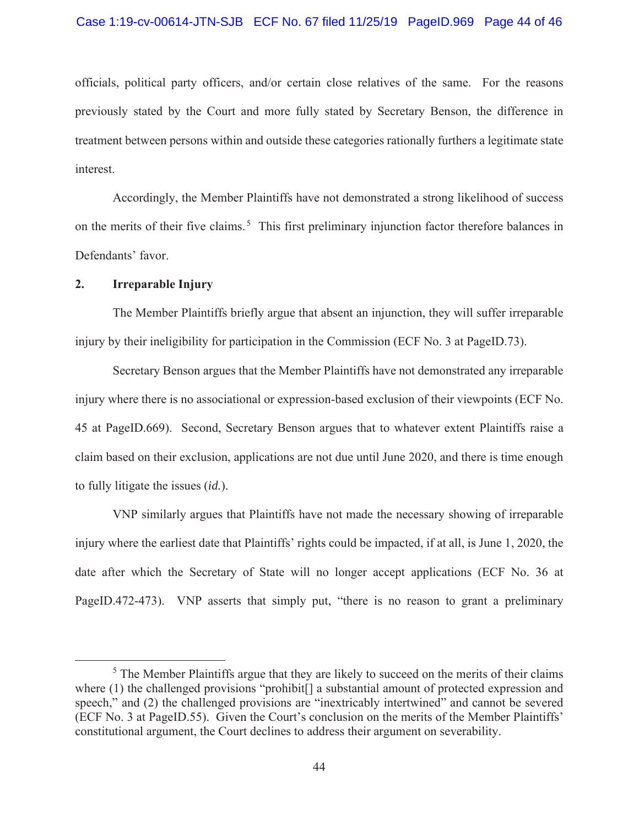#### Case 1:19-cv-00614-JTN-SJB ECF No. 67 filed 11/25/19 PageID.969 Page 44 of 46

officials, political party officers, and/or certain close relatives of the same. For the reasons previously stated by the Court and more fully stated by Secretary Benson, the difference in treatment between persons within and outside these categories rationally furthers a legitimate state interest.

Accordingly, the Member Plaintiffs have not demonstrated a strong likelihood of success on the merits of their five claims.<sup>5</sup> This first preliminary injunction factor therefore balances in Defendants' favor.

## **2. Irreparable Injury**

The Member Plaintiffs briefly argue that absent an injunction, they will suffer irreparable injury by their ineligibility for participation in the Commission (ECF No. 3 at PageID.73).

Secretary Benson argues that the Member Plaintiffs have not demonstrated any irreparable injury where there is no associational or expression-based exclusion of their viewpoints (ECF No. 45 at PageID.669). Second, Secretary Benson argues that to whatever extent Plaintiffs raise a claim based on their exclusion, applications are not due until June 2020, and there is time enough to fully litigate the issues (*id.*).

VNP similarly argues that Plaintiffs have not made the necessary showing of irreparable injury where the earliest date that Plaintiffs' rights could be impacted, if at all, is June 1, 2020, the date after which the Secretary of State will no longer accept applications (ECF No. 36 at PageID.472-473). VNP asserts that simply put, "there is no reason to grant a preliminary

<sup>&</sup>lt;sup>5</sup> The Member Plaintiffs argue that they are likely to succeed on the merits of their claims where (1) the challenged provisions "prohibit<sup>[</sup>] a substantial amount of protected expression and speech," and (2) the challenged provisions are "inextricably intertwined" and cannot be severed (ECF No. 3 at PageID.55). Given the Court's conclusion on the merits of the Member Plaintiffs' constitutional argument, the Court declines to address their argument on severability.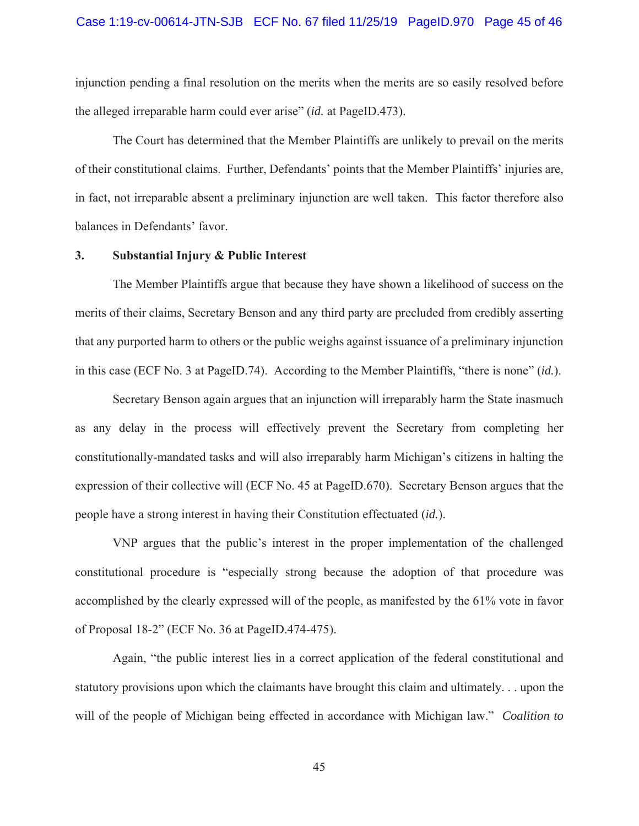# Case 1:19-cv-00614-JTN-SJB ECF No. 67 filed 11/25/19 PageID.970 Page 45 of 46

injunction pending a final resolution on the merits when the merits are so easily resolved before the alleged irreparable harm could ever arise" (*id.* at PageID.473).

The Court has determined that the Member Plaintiffs are unlikely to prevail on the merits of their constitutional claims. Further, Defendants' points that the Member Plaintiffs' injuries are, in fact, not irreparable absent a preliminary injunction are well taken. This factor therefore also balances in Defendants' favor.

## **3. Substantial Injury & Public Interest**

The Member Plaintiffs argue that because they have shown a likelihood of success on the merits of their claims, Secretary Benson and any third party are precluded from credibly asserting that any purported harm to others or the public weighs against issuance of a preliminary injunction in this case (ECF No. 3 at PageID.74). According to the Member Plaintiffs, "there is none" (*id.*).

Secretary Benson again argues that an injunction will irreparably harm the State inasmuch as any delay in the process will effectively prevent the Secretary from completing her constitutionally-mandated tasks and will also irreparably harm Michigan's citizens in halting the expression of their collective will (ECF No. 45 at PageID.670). Secretary Benson argues that the people have a strong interest in having their Constitution effectuated (*id.*).

VNP argues that the public's interest in the proper implementation of the challenged constitutional procedure is "especially strong because the adoption of that procedure was accomplished by the clearly expressed will of the people, as manifested by the 61% vote in favor of Proposal 18-2" (ECF No. 36 at PageID.474-475).

Again, "the public interest lies in a correct application of the federal constitutional and statutory provisions upon which the claimants have brought this claim and ultimately. . . upon the will of the people of Michigan being effected in accordance with Michigan law." *Coalition to*